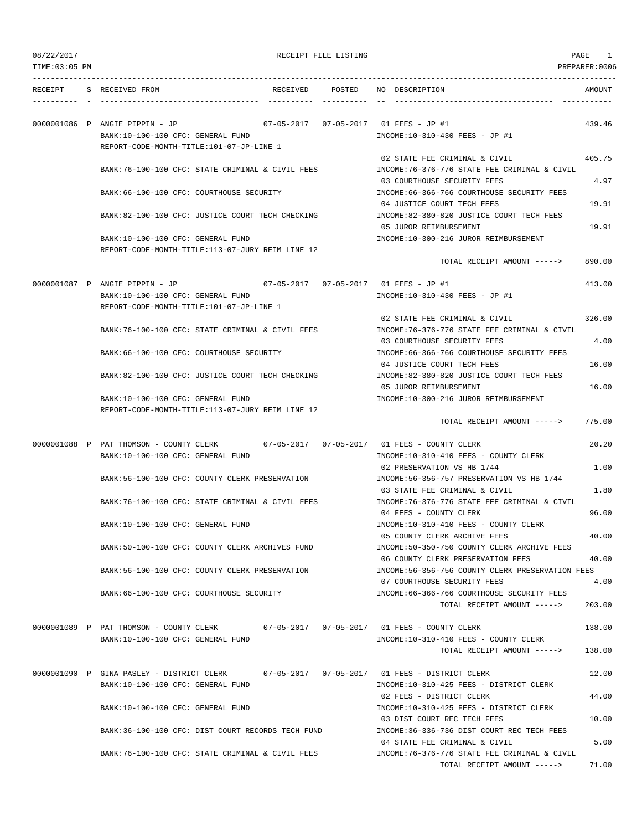| 08/22/2017<br>TIME: 03:05 PM | RECEIPT FILE LISTING                                                                                            |                 |  | PAGE<br>PREPARER:0006                                                                                         |                  |  |  |
|------------------------------|-----------------------------------------------------------------------------------------------------------------|-----------------|--|---------------------------------------------------------------------------------------------------------------|------------------|--|--|
|                              |                                                                                                                 |                 |  |                                                                                                               |                  |  |  |
| RECEIPT                      | S RECEIVED FROM                                                                                                 | RECEIVED POSTED |  | NO DESCRIPTION                                                                                                | AMOUNT           |  |  |
|                              | 0000001086 P ANGIE PIPPIN - JP<br>BANK:10-100-100 CFC: GENERAL FUND<br>REPORT-CODE-MONTH-TITLE:101-07-JP-LINE 1 |                 |  | 07-05-2017  07-05-2017  01 FEES - JP #1<br>INCOME:10-310-430 FEES - JP #1                                     | 439.46           |  |  |
|                              | BANK:76-100-100 CFC: STATE CRIMINAL & CIVIL FEES                                                                |                 |  | 02 STATE FEE CRIMINAL & CIVIL<br>INCOME: 76-376-776 STATE FEE CRIMINAL & CIVIL                                | 405.75           |  |  |
|                              | BANK: 66-100-100 CFC: COURTHOUSE SECURITY                                                                       |                 |  | 03 COURTHOUSE SECURITY FEES<br>INCOME: 66-366-766 COURTHOUSE SECURITY FEES<br>04 JUSTICE COURT TECH FEES      | 4.97<br>19.91    |  |  |
|                              | BANK:82-100-100 CFC: JUSTICE COURT TECH CHECKING                                                                |                 |  | INCOME:82-380-820 JUSTICE COURT TECH FEES<br>05 JUROR REIMBURSEMENT                                           | 19.91            |  |  |
|                              | BANK:10-100-100 CFC: GENERAL FUND<br>REPORT-CODE-MONTH-TITLE:113-07-JURY REIM LINE 12                           |                 |  | INCOME:10-300-216 JUROR REIMBURSEMENT<br>TOTAL RECEIPT AMOUNT ----->                                          | 890.00           |  |  |
|                              |                                                                                                                 |                 |  | 07-05-2017  07-05-2017  01 FEES - JP #1                                                                       |                  |  |  |
|                              | 0000001087 P ANGIE PIPPIN - JP<br>BANK:10-100-100 CFC: GENERAL FUND<br>REPORT-CODE-MONTH-TITLE:101-07-JP-LINE 1 |                 |  | INCOME:10-310-430 FEES - JP #1                                                                                | 413.00           |  |  |
|                              | BANK:76-100-100 CFC: STATE CRIMINAL & CIVIL FEES                                                                |                 |  | 02 STATE FEE CRIMINAL & CIVIL<br>INCOME: 76-376-776 STATE FEE CRIMINAL & CIVIL                                | 326.00           |  |  |
|                              | BANK:66-100-100 CFC: COURTHOUSE SECURITY                                                                        |                 |  | 03 COURTHOUSE SECURITY FEES<br>INCOME: 66-366-766 COURTHOUSE SECURITY FEES<br>04 JUSTICE COURT TECH FEES      | 4.00<br>16.00    |  |  |
|                              | BANK:82-100-100 CFC: JUSTICE COURT TECH CHECKING                                                                |                 |  | INCOME:82-380-820 JUSTICE COURT TECH FEES<br>05 JUROR REIMBURSEMENT                                           | 16.00            |  |  |
|                              | BANK:10-100-100 CFC: GENERAL FUND<br>REPORT-CODE-MONTH-TITLE:113-07-JURY REIM LINE 12                           |                 |  | INCOME:10-300-216 JUROR REIMBURSEMENT                                                                         |                  |  |  |
|                              |                                                                                                                 |                 |  | TOTAL RECEIPT AMOUNT ----->                                                                                   | 775.00           |  |  |
|                              | 0000001088 P PAT THOMSON - COUNTY CLERK<br>BANK:10-100-100 CFC: GENERAL FUND                                    |                 |  | INCOME:10-310-410 FEES - COUNTY CLERK                                                                         | 20.20            |  |  |
|                              | BANK:56-100-100 CFC: COUNTY CLERK PRESERVATION                                                                  |                 |  | 02 PRESERVATION VS HB 1744<br>INCOME: 56-356-757 PRESERVATION VS HB 1744                                      | 1.00             |  |  |
|                              | BANK:76-100-100 CFC: STATE CRIMINAL & CIVIL FEES                                                                |                 |  | 03 STATE FEE CRIMINAL & CIVIL<br>INCOME:76-376-776 STATE FEE CRIMINAL & CIVIL<br>04 FEES - COUNTY CLERK       | 1.80<br>96.00    |  |  |
|                              | BANK:10-100-100 CFC: GENERAL FUND                                                                               |                 |  | INCOME:10-310-410 FEES - COUNTY CLERK<br>05 COUNTY CLERK ARCHIVE FEES                                         | 40.00            |  |  |
|                              | BANK:50-100-100 CFC: COUNTY CLERK ARCHIVES FUND                                                                 |                 |  | INCOME:50-350-750 COUNTY CLERK ARCHIVE FEES<br>06 COUNTY CLERK PRESERVATION FEES                              | 40.00            |  |  |
|                              | BANK:56-100-100 CFC: COUNTY CLERK PRESERVATION                                                                  |                 |  | INCOME: 56-356-756 COUNTY CLERK PRESERVATION FEES<br>07 COURTHOUSE SECURITY FEES                              | 4.00             |  |  |
|                              | BANK:66-100-100 CFC: COURTHOUSE SECURITY                                                                        |                 |  | INCOME: 66-366-766 COURTHOUSE SECURITY FEES<br>TOTAL RECEIPT AMOUNT ----->                                    | 203.00           |  |  |
|                              | 0000001089 P PAT THOMSON - COUNTY CLERK<br>BANK:10-100-100 CFC: GENERAL FUND                                    |                 |  | INCOME:10-310-410 FEES - COUNTY CLERK<br>TOTAL RECEIPT AMOUNT ----->                                          | 138.00<br>138.00 |  |  |
|                              | 0000001090 P GINA PASLEY - DISTRICT CLERK<br>BANK:10-100-100 CFC: GENERAL FUND                                  |                 |  | INCOME:10-310-425 FEES - DISTRICT CLERK                                                                       | 12.00            |  |  |
|                              | BANK:10-100-100 CFC: GENERAL FUND                                                                               |                 |  | 02 FEES - DISTRICT CLERK<br>INCOME:10-310-425 FEES - DISTRICT CLERK                                           | 44.00            |  |  |
|                              | BANK:36-100-100 CFC: DIST COURT RECORDS TECH FUND                                                               |                 |  | 03 DIST COURT REC TECH FEES<br>INCOME: 36-336-736 DIST COURT REC TECH FEES                                    | 10.00            |  |  |
|                              | BANK:76-100-100 CFC: STATE CRIMINAL & CIVIL FEES                                                                |                 |  | 04 STATE FEE CRIMINAL & CIVIL<br>INCOME: 76-376-776 STATE FEE CRIMINAL & CIVIL<br>TOTAL RECEIPT AMOUNT -----> | 5.00<br>71.00    |  |  |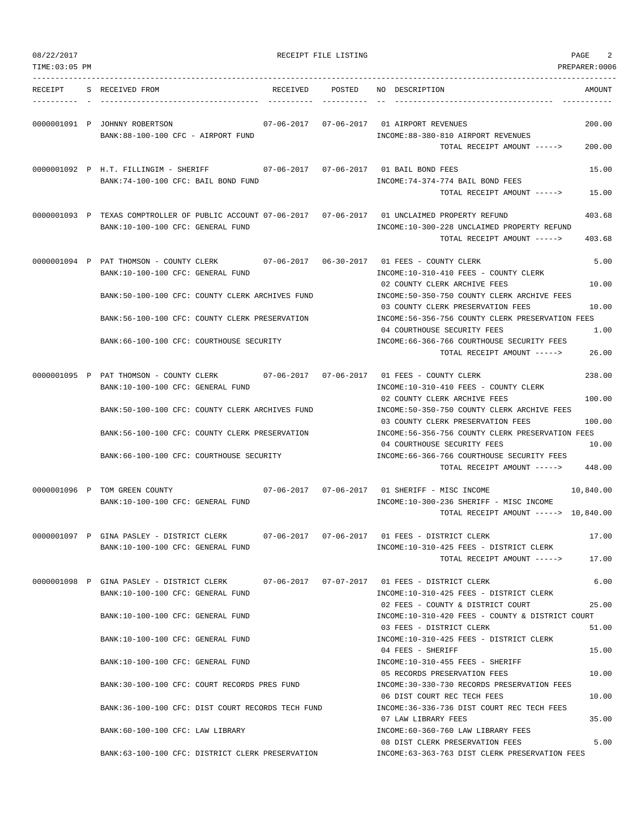| TIME: 03:05 PM |                                                                                                                                          |                                                                                                          | PREPARER:0006    |
|----------------|------------------------------------------------------------------------------------------------------------------------------------------|----------------------------------------------------------------------------------------------------------|------------------|
|                | RECEIPT S RECEIVED FROM                                                                                                                  | RECEIVED POSTED NO DESCRIPTION                                                                           | AMOUNT           |
|                | 0000001091 P JOHNNY ROBERTSON<br>BANK:88-100-100 CFC - AIRPORT FUND                                                                      | INCOME: 88-380-810 AIRPORT REVENUES<br>TOTAL RECEIPT AMOUNT ----->                                       | 200.00<br>200.00 |
|                | 0000001092 P H.T. FILLINGIM - SHERIFF 67-06-2017 07-06-2017 01 BAIL BOND FEES<br>BANK:74-100-100 CFC: BAIL BOND FUND                     | INCOME: 74-374-774 BAIL BOND FEES                                                                        | 15.00            |
|                |                                                                                                                                          | TOTAL RECEIPT AMOUNT ----->                                                                              | 15.00            |
|                | 0000001093 P TEXAS COMPTROLLER OF PUBLIC ACCOUNT 07-06-2017 07-06-2017 01 UNCLAIMED PROPERTY REFUND<br>BANK:10-100-100 CFC: GENERAL FUND | INCOME:10-300-228 UNCLAIMED PROPERTY REFUND<br>TOTAL RECEIPT AMOUNT ----->                               | 403.68<br>403.68 |
|                | 0000001094 P PAT THOMSON - COUNTY CLERK<br>BANK:10-100-100 CFC: GENERAL FUND                                                             | INCOME:10-310-410 FEES - COUNTY CLERK                                                                    | 5.00             |
|                | BANK:50-100-100 CFC: COUNTY CLERK ARCHIVES FUND                                                                                          | 02 COUNTY CLERK ARCHIVE FEES<br>INCOME: 50-350-750 COUNTY CLERK ARCHIVE FEES                             | 10.00            |
|                | BANK:56-100-100 CFC: COUNTY CLERK PRESERVATION                                                                                           | 03 COUNTY CLERK PRESERVATION FEES<br>INCOME: 56-356-756 COUNTY CLERK PRESERVATION FEES                   | 10.00            |
|                | BANK: 66-100-100 CFC: COURTHOUSE SECURITY                                                                                                | 04 COURTHOUSE SECURITY FEES<br>INCOME:66-366-766 COURTHOUSE SECURITY FEES<br>TOTAL RECEIPT AMOUNT -----> | 1.00<br>26.00    |
|                | 0000001095 P PAT THOMSON - COUNTY CLERK 07-06-2017 07-06-2017 01 FEES - COUNTY CLERK                                                     |                                                                                                          | 238.00           |
|                | BANK:10-100-100 CFC: GENERAL FUND                                                                                                        | INCOME:10-310-410 FEES - COUNTY CLERK<br>02 COUNTY CLERK ARCHIVE FEES                                    | 100.00           |
|                | BANK:50-100-100 CFC: COUNTY CLERK ARCHIVES FUND                                                                                          | INCOME:50-350-750 COUNTY CLERK ARCHIVE FEES<br>03 COUNTY CLERK PRESERVATION FEES                         | 100.00           |
|                | BANK:56-100-100 CFC: COUNTY CLERK PRESERVATION                                                                                           | INCOME: 56-356-756 COUNTY CLERK PRESERVATION FEES<br>04 COURTHOUSE SECURITY FEES                         | 10.00            |
|                | BANK:66-100-100 CFC: COURTHOUSE SECURITY                                                                                                 | INCOME:66-366-766 COURTHOUSE SECURITY FEES<br>TOTAL RECEIPT AMOUNT ----->                                | 448.00           |
|                | 0000001096 P TOM GREEN COUNTY<br>BANK:10-100-100 CFC: GENERAL FUND                                                                       | INCOME:10-300-236 SHERIFF - MISC INCOME<br>TOTAL RECEIPT AMOUNT -----> 10,840.00                         | 10,840.00        |
|                | 0000001097 P GINA PASLEY - DISTRICT CLERK                                                                                                |                                                                                                          | 17.00            |
|                | BANK:10-100-100 CFC: GENERAL FUND                                                                                                        | INCOME:10-310-425 FEES - DISTRICT CLERK<br>TOTAL RECEIPT AMOUNT ----->                                   | 17.00            |
|                | 0000001098 P GINA PASLEY - DISTRICT CLERK<br>BANK:10-100-100 CFC: GENERAL FUND                                                           | INCOME:10-310-425 FEES - DISTRICT CLERK                                                                  | 6.00             |
|                | BANK:10-100-100 CFC: GENERAL FUND                                                                                                        | 02 FEES - COUNTY & DISTRICT COURT<br>INCOME:10-310-420 FEES - COUNTY & DISTRICT COURT                    | 25.00            |
|                | BANK:10-100-100 CFC: GENERAL FUND                                                                                                        | 03 FEES - DISTRICT CLERK<br>INCOME:10-310-425 FEES - DISTRICT CLERK                                      | 51.00            |
|                | BANK:10-100-100 CFC: GENERAL FUND                                                                                                        | 04 FEES - SHERIFF<br>INCOME:10-310-455 FEES - SHERIFF                                                    | 15.00            |
|                | BANK:30-100-100 CFC: COURT RECORDS PRES FUND                                                                                             | 05 RECORDS PRESERVATION FEES<br>INCOME:30-330-730 RECORDS PRESERVATION FEES                              | 10.00            |
|                | BANK:36-100-100 CFC: DIST COURT RECORDS TECH FUND                                                                                        | 06 DIST COURT REC TECH FEES<br>INCOME: 36-336-736 DIST COURT REC TECH FEES                               | 10.00            |
|                | BANK:60-100-100 CFC: LAW LIBRARY                                                                                                         | 07 LAW LIBRARY FEES<br>INCOME:60-360-760 LAW LIBRARY FEES                                                | 35.00            |
|                | BANK:63-100-100 CFC: DISTRICT CLERK PRESERVATION                                                                                         | 08 DIST CLERK PRESERVATION FEES<br>INCOME:63-363-763 DIST CLERK PRESERVATION FEES                        | 5.00             |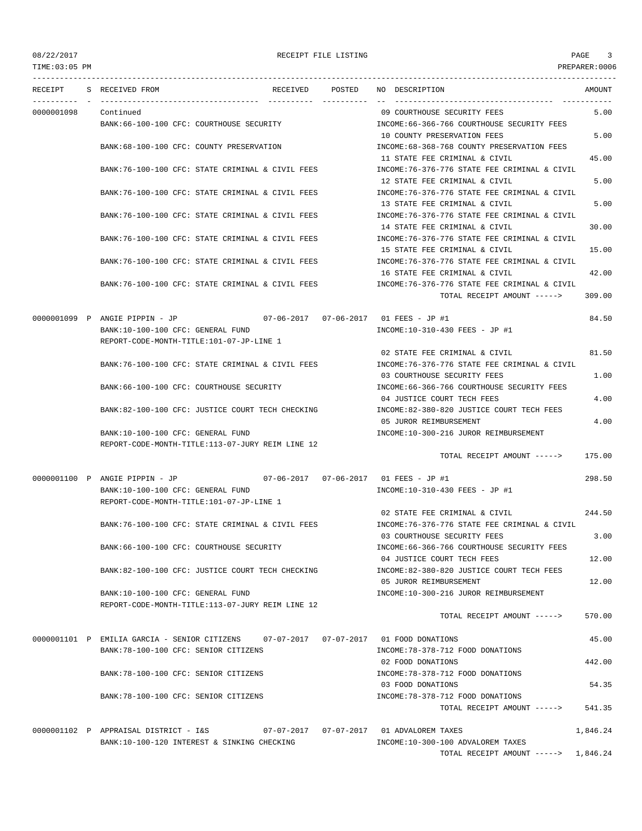TIME:03:05 PM PREPARER:0006

|            | RECEIPT S RECEIVED FROM                                                              | RECEIVED POSTED | NO DESCRIPTION                                | AMOUNT   |
|------------|--------------------------------------------------------------------------------------|-----------------|-----------------------------------------------|----------|
| 0000001098 | Continued                                                                            |                 | 09 COURTHOUSE SECURITY FEES                   | 5.00     |
|            | BANK:66-100-100 CFC: COURTHOUSE SECURITY                                             |                 | INCOME:66-366-766 COURTHOUSE SECURITY FEES    |          |
|            |                                                                                      |                 | 10 COUNTY PRESERVATION FEES                   | 5.00     |
|            | BANK: 68-100-100 CFC: COUNTY PRESERVATION                                            |                 | INCOME: 68-368-768 COUNTY PRESERVATION FEES   |          |
|            |                                                                                      |                 | 11 STATE FEE CRIMINAL & CIVIL                 | 45.00    |
|            | BANK: 76-100-100 CFC: STATE CRIMINAL & CIVIL FEES                                    |                 | INCOME: 76-376-776 STATE FEE CRIMINAL & CIVIL |          |
|            |                                                                                      |                 | 12 STATE FEE CRIMINAL & CIVIL                 | 5.00     |
|            | BANK:76-100-100 CFC: STATE CRIMINAL & CIVIL FEES                                     |                 | INCOME:76-376-776 STATE FEE CRIMINAL & CIVIL  |          |
|            |                                                                                      |                 | 13 STATE FEE CRIMINAL & CIVIL                 | 5.00     |
|            | BANK:76-100-100 CFC: STATE CRIMINAL & CIVIL FEES                                     |                 | INCOME: 76-376-776 STATE FEE CRIMINAL & CIVIL |          |
|            |                                                                                      |                 | 14 STATE FEE CRIMINAL & CIVIL                 | 30.00    |
|            | BANK:76-100-100 CFC: STATE CRIMINAL & CIVIL FEES                                     |                 | INCOME:76-376-776 STATE FEE CRIMINAL & CIVIL  |          |
|            |                                                                                      |                 | 15 STATE FEE CRIMINAL & CIVIL                 | 15.00    |
|            | BANK:76-100-100 CFC: STATE CRIMINAL & CIVIL FEES                                     |                 | INCOME: 76-376-776 STATE FEE CRIMINAL & CIVIL |          |
|            |                                                                                      |                 | 16 STATE FEE CRIMINAL & CIVIL                 | 42.00    |
|            | BANK:76-100-100 CFC: STATE CRIMINAL & CIVIL FEES                                     |                 | INCOME: 76-376-776 STATE FEE CRIMINAL & CIVIL |          |
|            |                                                                                      |                 | TOTAL RECEIPT AMOUNT ----->                   | 309.00   |
|            | 0000001099 P ANGIE PIPPIN - JP                                                       |                 | $07-06-2017$ $07-06-2017$ 01 FEES - JP #1     | 84.50    |
|            | BANK:10-100-100 CFC: GENERAL FUND                                                    |                 | INCOME:10-310-430 FEES - JP #1                |          |
|            | REPORT-CODE-MONTH-TITLE:101-07-JP-LINE 1                                             |                 |                                               |          |
|            |                                                                                      |                 | 02 STATE FEE CRIMINAL & CIVIL                 | 81.50    |
|            | BANK:76-100-100 CFC: STATE CRIMINAL & CIVIL FEES                                     |                 | INCOME:76-376-776 STATE FEE CRIMINAL & CIVIL  |          |
|            |                                                                                      |                 | 03 COURTHOUSE SECURITY FEES                   | 1.00     |
|            | BANK:66-100-100 CFC: COURTHOUSE SECURITY                                             |                 | INCOME: 66-366-766 COURTHOUSE SECURITY FEES   |          |
|            |                                                                                      |                 | 04 JUSTICE COURT TECH FEES                    | 4.00     |
|            | BANK:82-100-100 CFC: JUSTICE COURT TECH CHECKING                                     |                 | INCOME:82-380-820 JUSTICE COURT TECH FEES     |          |
|            |                                                                                      |                 | 05 JUROR REIMBURSEMENT                        | 4.00     |
|            | BANK:10-100-100 CFC: GENERAL FUND                                                    |                 | INCOME:10-300-216 JUROR REIMBURSEMENT         |          |
|            | REPORT-CODE-MONTH-TITLE:113-07-JURY REIM LINE 12                                     |                 |                                               |          |
|            |                                                                                      |                 | TOTAL RECEIPT AMOUNT ----->                   | 175.00   |
|            | 0000001100 P ANGIE PIPPIN - JP 07-06-2017 07-06-2017 01 FEES - JP #1                 |                 |                                               | 298.50   |
|            | BANK:10-100-100 CFC: GENERAL FUND                                                    |                 | INCOME:10-310-430 FEES - JP #1                |          |
|            | REPORT-CODE-MONTH-TITLE:101-07-JP-LINE 1                                             |                 |                                               |          |
|            |                                                                                      |                 | 02 STATE FEE CRIMINAL & CIVIL                 | 244.50   |
|            | BANK:76-100-100 CFC: STATE CRIMINAL & CIVIL FEES                                     |                 | INCOME:76-376-776 STATE FEE CRIMINAL & CIVIL  |          |
|            |                                                                                      |                 | 03 COURTHOUSE SECURITY FEES                   | 3.00     |
|            | BANK:66-100-100 CFC: COURTHOUSE SECURITY                                             |                 | INCOME:66-366-766 COURTHOUSE SECURITY FEES    |          |
|            |                                                                                      |                 | 04 JUSTICE COURT TECH FEES                    | 12.00    |
|            | BANK:82-100-100 CFC: JUSTICE COURT TECH CHECKING                                     |                 | INCOME:82-380-820 JUSTICE COURT TECH FEES     |          |
|            |                                                                                      |                 | 05 JUROR REIMBURSEMENT                        | 12.00    |
|            | BANK:10-100-100 CFC: GENERAL FUND                                                    |                 | INCOME:10-300-216 JUROR REIMBURSEMENT         |          |
|            | REPORT-CODE-MONTH-TITLE:113-07-JURY REIM LINE 12                                     |                 |                                               |          |
|            |                                                                                      |                 | TOTAL RECEIPT AMOUNT ----->                   | 570.00   |
|            | 0000001101 P EMILIA GARCIA - SENIOR CITIZENS 07-07-2017 07-07-2017 01 FOOD DONATIONS |                 |                                               | 45.00    |
|            | BANK: 78-100-100 CFC: SENIOR CITIZENS                                                |                 | INCOME: 78-378-712 FOOD DONATIONS             |          |
|            |                                                                                      |                 | 02 FOOD DONATIONS                             | 442.00   |
|            | BANK: 78-100-100 CFC: SENIOR CITIZENS                                                |                 | INCOME: 78-378-712 FOOD DONATIONS             |          |
|            |                                                                                      |                 | 03 FOOD DONATIONS                             | 54.35    |
|            | BANK:78-100-100 CFC: SENIOR CITIZENS                                                 |                 | INCOME: 78-378-712 FOOD DONATIONS             |          |
|            |                                                                                      |                 | TOTAL RECEIPT AMOUNT ----->                   | 541.35   |
|            |                                                                                      |                 |                                               |          |
|            | 0000001102 P APPRAISAL DISTRICT - I&S 67-07-2017 07-07-2017 01 ADVALOREM TAXES       |                 |                                               | 1,846.24 |
|            | BANK:10-100-120 INTEREST & SINKING CHECKING                                          |                 | INCOME:10-300-100 ADVALOREM TAXES             |          |
|            |                                                                                      |                 | TOTAL RECEIPT AMOUNT -----> 1,846.24          |          |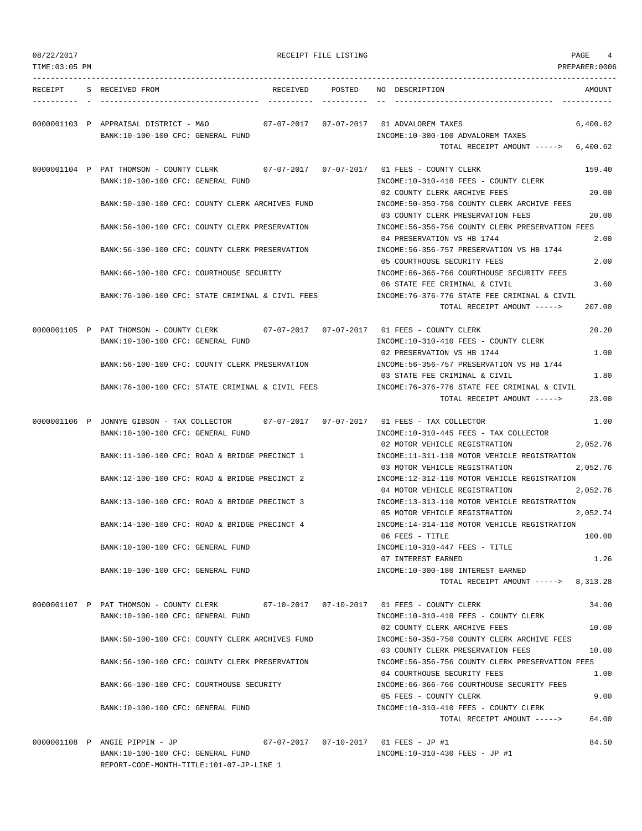| 08/22/2017     |                                                                                 |                                                  | RECEIPT FILE LISTING              |                                                                                                                               | PAGE<br>4            |
|----------------|---------------------------------------------------------------------------------|--------------------------------------------------|-----------------------------------|-------------------------------------------------------------------------------------------------------------------------------|----------------------|
| TIME: 03:05 PM |                                                                                 |                                                  |                                   |                                                                                                                               | PREPARER: 0006       |
| RECEIPT        | S RECEIVED FROM                                                                 |                                                  | RECEIVED POSTED                   | NO DESCRIPTION                                                                                                                | AMOUNT               |
|                | 0000001103 P APPRAISAL DISTRICT - M&O<br>BANK:10-100-100 CFC: GENERAL FUND      |                                                  |                                   | INCOME:10-300-100 ADVALOREM TAXES                                                                                             | 6,400.62             |
|                |                                                                                 |                                                  |                                   | TOTAL RECEIPT AMOUNT ----->                                                                                                   | 6,400.62             |
|                | 0000001104 P PAT THOMSON - COUNTY CLERK<br>BANK:10-100-100 CFC: GENERAL FUND    |                                                  | 07-07-2017 07-07-2017             | 01 FEES - COUNTY CLERK<br>INCOME:10-310-410 FEES - COUNTY CLERK<br>02 COUNTY CLERK ARCHIVE FEES                               | 159.40<br>20.00      |
|                |                                                                                 | BANK:50-100-100 CFC: COUNTY CLERK ARCHIVES FUND  |                                   | INCOME:50-350-750 COUNTY CLERK ARCHIVE FEES                                                                                   |                      |
|                |                                                                                 | BANK:56-100-100 CFC: COUNTY CLERK PRESERVATION   |                                   | 03 COUNTY CLERK PRESERVATION FEES<br>INCOME:56-356-756 COUNTY CLERK PRESERVATION FEES                                         | 20.00                |
|                |                                                                                 | BANK:56-100-100 CFC: COUNTY CLERK PRESERVATION   |                                   | 04 PRESERVATION VS HB 1744<br>INCOME:56-356-757 PRESERVATION VS HB 1744                                                       | 2.00                 |
|                | BANK: 66-100-100 CFC: COURTHOUSE SECURITY                                       |                                                  |                                   | 05 COURTHOUSE SECURITY FEES<br>INCOME: 66-366-766 COURTHOUSE SECURITY FEES                                                    | 2.00                 |
|                |                                                                                 | BANK:76-100-100 CFC: STATE CRIMINAL & CIVIL FEES |                                   | 06 STATE FEE CRIMINAL & CIVIL<br>INCOME: 76-376-776 STATE FEE CRIMINAL & CIVIL<br>TOTAL RECEIPT AMOUNT ----->                 | 3.60<br>207.00       |
|                |                                                                                 |                                                  |                                   |                                                                                                                               |                      |
|                | 0000001105 P PAT THOMSON - COUNTY CLERK<br>BANK:10-100-100 CFC: GENERAL FUND    |                                                  |                                   | 07-07-2017  07-07-2017  01 FEES - COUNTY CLERK<br>INCOME:10-310-410 FEES - COUNTY CLERK                                       | 20.20                |
|                |                                                                                 | BANK:56-100-100 CFC: COUNTY CLERK PRESERVATION   |                                   | 02 PRESERVATION VS HB 1744<br>INCOME: 56-356-757 PRESERVATION VS HB 1744                                                      | 1.00                 |
|                |                                                                                 | BANK:76-100-100 CFC: STATE CRIMINAL & CIVIL FEES |                                   | 03 STATE FEE CRIMINAL & CIVIL<br>INCOME:76-376-776 STATE FEE CRIMINAL & CIVIL                                                 | 1.80                 |
|                |                                                                                 |                                                  |                                   | TOTAL RECEIPT AMOUNT ----->                                                                                                   | 23.00                |
|                | 0000001106 P JONNYE GIBSON - TAX COLLECTOR<br>BANK:10-100-100 CFC: GENERAL FUND |                                                  | $07 - 07 - 2017$ $07 - 07 - 2017$ | 01 FEES - TAX COLLECTOR<br>INCOME:10-310-445 FEES - TAX COLLECTOR                                                             | 1.00                 |
|                |                                                                                 | BANK:11-100-100 CFC: ROAD & BRIDGE PRECINCT 1    |                                   | 02 MOTOR VEHICLE REGISTRATION<br>INCOME:11-311-110 MOTOR VEHICLE REGISTRATION<br>03 MOTOR VEHICLE REGISTRATION                | 2,052.76<br>2,052.76 |
|                |                                                                                 | BANK:12-100-100 CFC: ROAD & BRIDGE PRECINCT 2    |                                   | INCOME:12-312-110 MOTOR VEHICLE REGISTRATION<br>04 MOTOR VEHICLE REGISTRATION                                                 | 2,052.76             |
|                |                                                                                 | BANK:13-100-100 CFC: ROAD & BRIDGE PRECINCT 3    |                                   | INCOME:13-313-110 MOTOR VEHICLE REGISTRATION                                                                                  | 2,052.74             |
|                |                                                                                 | BANK:14-100-100 CFC: ROAD & BRIDGE PRECINCT 4    |                                   | 05 MOTOR VEHICLE REGISTRATION<br>INCOME:14-314-110 MOTOR VEHICLE REGISTRATION                                                 |                      |
|                | BANK:10-100-100 CFC: GENERAL FUND                                               |                                                  |                                   | 06 FEES - TITLE<br>INCOME:10-310-447 FEES - TITLE                                                                             | 100.00               |
|                | BANK:10-100-100 CFC: GENERAL FUND                                               |                                                  |                                   | 07 INTEREST EARNED<br>INCOME:10-300-180 INTEREST EARNED                                                                       | 1.26                 |
|                |                                                                                 |                                                  |                                   | TOTAL RECEIPT AMOUNT -----> 8,313.28                                                                                          |                      |
|                | BANK:10-100-100 CFC: GENERAL FUND                                               |                                                  |                                   | 0000001107 P PAT THOMSON - COUNTY CLERK 07-10-2017 07-10-2017 01 FEES - COUNTY CLERK<br>INCOME:10-310-410 FEES - COUNTY CLERK | 34.00                |
|                |                                                                                 | BANK:50-100-100 CFC: COUNTY CLERK ARCHIVES FUND  |                                   | 02 COUNTY CLERK ARCHIVE FEES<br>INCOME:50-350-750 COUNTY CLERK ARCHIVE FEES                                                   | 10.00                |
|                |                                                                                 | BANK:56-100-100 CFC: COUNTY CLERK PRESERVATION   |                                   | 03 COUNTY CLERK PRESERVATION FEES<br>INCOME: 56-356-756 COUNTY CLERK PRESERVATION FEES                                        | 10.00                |
|                | BANK: 66-100-100 CFC: COURTHOUSE SECURITY                                       |                                                  |                                   | 04 COURTHOUSE SECURITY FEES<br>INCOME: 66-366-766 COURTHOUSE SECURITY FEES                                                    | 1.00                 |
|                |                                                                                 |                                                  |                                   | 05 FEES - COUNTY CLERK                                                                                                        | 9.00                 |
|                | BANK:10-100-100 CFC: GENERAL FUND                                               |                                                  |                                   | INCOME:10-310-410 FEES - COUNTY CLERK<br>TOTAL RECEIPT AMOUNT ----->                                                          | 64.00                |
|                | 0000001108 P ANGIE PIPPIN - JP                                                  |                                                  |                                   | 07-07-2017  07-10-2017  01 FEES - JP #1                                                                                       | 84.50                |

BANK:10-100-100 CFC: GENERAL FUND INCOME:10-310-430 FEES - JP #1 REPORT-CODE-MONTH-TITLE:101-07-JP-LINE 1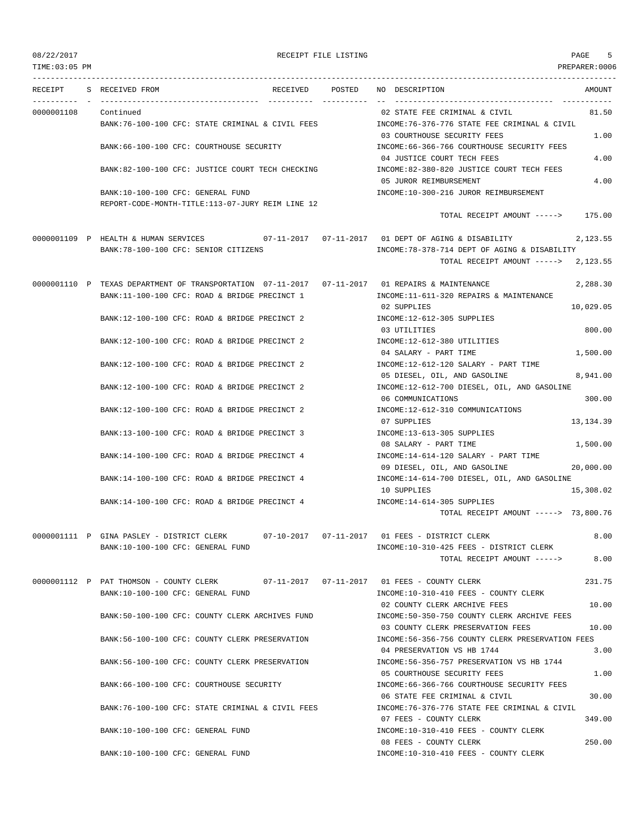TIME:03:05 PM PREPARER:0006

### 08/22/2017 RECEIPT FILE LISTING PAGE 5

--------------------------------------------------------------------------------------------------------------------------------- RECEIPT S RECEIVED FROM RECEIVED POSTED NO DESCRIPTION AMOUNT ---------- - ----------------------------------- ---------- ---------- -- ----------------------------------- ----------- 0000001108 Continued 02 STATE FEE CRIMINAL & CIVIL 81.50 BANK:76-100-100 CFC: STATE CRIMINAL & CIVIL FEES INCOME:76-376-776 STATE FEE CRIMINAL & CIVIL 03 COURTHOUSE SECURITY FEES 1.00 BANK:66-100-100 CFC: COURTHOUSE SECURITY INCOME:66-366-766 COURTHOUSE SECURITY FEES 04 JUSTICE COURT TECH FEES 4.00 BANK:82-100-100 CFC: JUSTICE COURT TECH CHECKING  $\qquad \qquad \text{INCOME:82-380-820}\text{ JUSTICE COURT TECH FEES}$ 05 JUROR REIMBURSEMENT 4.00 BANK:10-100-100 CFC: GENERAL FUND SANK:10-300-216 JUROR REIMBURSEMENT REPORT-CODE-MONTH-TITLE:113-07-JURY REIM LINE 12 TOTAL RECEIPT AMOUNT -----> 175.00 0000001109 P HEALTH & HUMAN SERVICES 07-11-2017 07-11-2017 01 DEPT OF AGING & DISABILITY 2,123.55 BANK:78-100-100 CFC: SENIOR CITIZENS INCOME:78-378-714 DEPT OF AGING & DISABILITY TOTAL RECEIPT AMOUNT -----> 2,123.55 0000001110 P TEXAS DEPARTMENT OF TRANSPORTATION 07-11-2017 07-11-2017 01 REPAIRS & MAINTENANCE 2,288.30 BANK:11-100-100 CFC: ROAD & BRIDGE PRECINCT 1 INCOME:11-611-320 REPAIRS & MAINTENANCE 02 SUPPLIES 10,029.05 BANK:12-100-100 CFC: ROAD & BRIDGE PRECINCT 2 INCOME:12-612-305 SUPPLIES 03 UTILITIES 800.00 BANK:12-100-100 CFC: ROAD & BRIDGE PRECINCT 2 INCOME:12-612-380 UTILITIES 04 SALARY - PART TIME 1,500.00 BANK:12-100-100 CFC: ROAD & BRIDGE PRECINCT 2 INCOME:12-612-120 SALARY - PART TIME 05 DIESEL, OIL, AND GASOLINE 8,941.00 BANK:12-100-100 CFC: ROAD & BRIDGE PRECINCT 2 INCOME:12-612-700 DIESEL, OIL, AND GASOLINE 06 COMMUNICATIONS 300.00 BANK:12-100-100 CFC: ROAD & BRIDGE PRECINCT 2 INCOME:12-612-310 COMMUNICATIONS 07 SUPPLIES 13,134.39 BANK:13-100-100 CFC: ROAD & BRIDGE PRECINCT 3 INCOME:13-613-305 SUPPLIES 08 SALARY - PART TIME 1,500.00 BANK:14-100-100 CFC: ROAD & BRIDGE PRECINCT 4 INCOME:14-614-120 SALARY - PART TIME 09 DIESEL, OIL, AND GASOLINE 20,000.00 BANK:14-100-100 CFC: ROAD & BRIDGE PRECINCT 4 INCOME:14-614-700 DIESEL, OIL, AND GASOLINE 10 SUPPLIES 15,308.02 BANK:14-100-100 CFC: ROAD & BRIDGE PRECINCT 4 INCOME:14-614-305 SUPPLIES TOTAL RECEIPT AMOUNT -----> 73,800.76 0000001111 P GINA PASLEY - DISTRICT CLERK 07-10-2017 07-11-2017 01 FEES - DISTRICT CLERK 8.00 BANK:10-100-100 CFC: GENERAL FUND INCOME:10-310-425 FEES - DISTRICT CLERK TOTAL RECEIPT AMOUNT -----> 8.00 0000001112 P PAT THOMSON - COUNTY CLERK 07-11-2017 07-11-2017 01 FEES - COUNTY CLERK 231.75 BANK:10-100-100 CFC: GENERAL FUND INCOME:10-310-410 FEES - COUNTY CLERK 02 COUNTY CLERK ARCHIVE FEES 10.00 BANK:50-100-100 CFC: COUNTY CLERK ARCHIVES FUND INCOME:50-350-750 COUNTY CLERK ARCHIVE FEES 03 COUNTY CLERK PRESERVATION FEES 10.00 BANK:56-100-100 CFC: COUNTY CLERK PRESERVATION INCOME:56-356-756 COUNTY CLERK PRESERVATION FEES 04 PRESERVATION VS HB 1744 3.00 BANK:56-100-100 CFC: COUNTY CLERK PRESERVATION INCOME:56-356-757 PRESERVATION VS HB 1744 05 COURTHOUSE SECURITY FEES 1.00 BANK:66-100-100 CFC: COURTHOUSE SECURITY INCOME:66-366-766 COURTHOUSE SECURITY FEES 06 STATE FEE CRIMINAL & CIVIL 30.00 BANK:76-100-100 CFC: STATE CRIMINAL & CIVIL FEES INCOME:76-376-776 STATE FEE CRIMINAL & CIVIL 07 FEES - COUNTY CLERK 349.00 BANK:10-100-100 CFC: GENERAL FUND INCOME:10-310-410 FEES - COUNTY CLERK 08 FEES - COUNTY CLERK 250.00 BANK:10-100-100 CFC: GENERAL FUND INCOME:10-310-410 FEES - COUNTY CLERK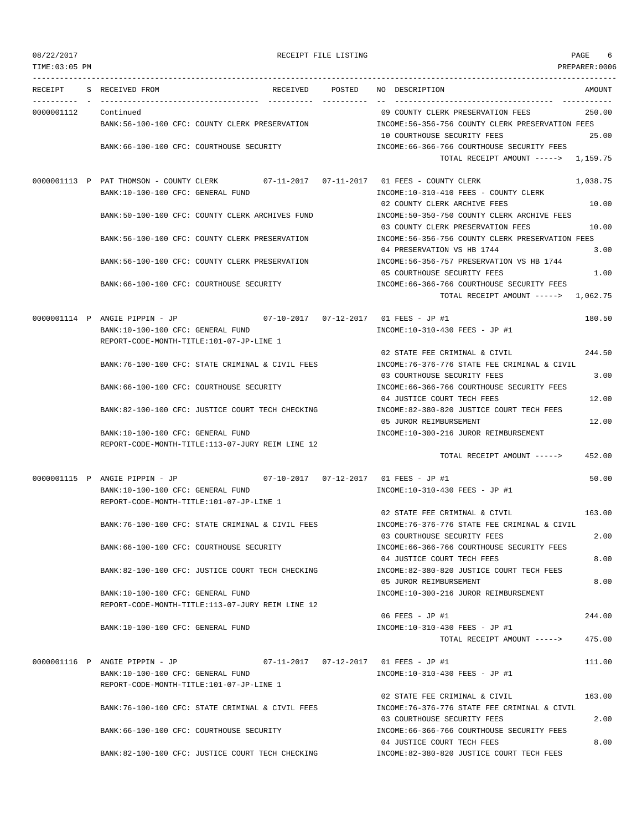PAGE THE LISTING RECEIPT FILE LISTING

| TIME:03:05 PM |                                                                                      |                      |                                                                                     | PREPARER:0006 |
|---------------|--------------------------------------------------------------------------------------|----------------------|-------------------------------------------------------------------------------------|---------------|
| RECEIPT       | S RECEIVED FROM<br>RECEIVED                                                          | POSTED<br>---------- | NO DESCRIPTION                                                                      | AMOUNT        |
| 0000001112    | Continued                                                                            |                      | 09 COUNTY CLERK PRESERVATION FEES                                                   | 250.00        |
|               | BANK: 56-100-100 CFC: COUNTY CLERK PRESERVATION                                      |                      | INCOME:56-356-756 COUNTY CLERK PRESERVATION FEES                                    |               |
|               |                                                                                      |                      | 10 COURTHOUSE SECURITY FEES                                                         | 25.00         |
|               | BANK:66-100-100 CFC: COURTHOUSE SECURITY                                             |                      | INCOME: 66-366-766 COURTHOUSE SECURITY FEES<br>TOTAL RECEIPT AMOUNT -----> 1,159.75 |               |
|               | 0000001113 P PAT THOMSON - COUNTY CLERK 07-11-2017 07-11-2017 01 FEES - COUNTY CLERK |                      |                                                                                     | 1,038.75      |
|               | BANK:10-100-100 CFC: GENERAL FUND                                                    |                      | INCOME:10-310-410 FEES - COUNTY CLERK                                               |               |
|               |                                                                                      |                      | 02 COUNTY CLERK ARCHIVE FEES                                                        | 10.00         |
|               | BANK:50-100-100 CFC: COUNTY CLERK ARCHIVES FUND                                      |                      | INCOME:50-350-750 COUNTY CLERK ARCHIVE FEES                                         |               |
|               |                                                                                      |                      | 03 COUNTY CLERK PRESERVATION FEES                                                   | 10.00         |
|               | BANK:56-100-100 CFC: COUNTY CLERK PRESERVATION                                       |                      | INCOME:56-356-756 COUNTY CLERK PRESERVATION FEES<br>04 PRESERVATION VS HB 1744      | 3.00          |
|               | BANK:56-100-100 CFC: COUNTY CLERK PRESERVATION                                       |                      | INCOME: 56-356-757 PRESERVATION VS HB 1744                                          |               |
|               |                                                                                      |                      | 05 COURTHOUSE SECURITY FEES                                                         | 1.00          |
|               | BANK:66-100-100 CFC: COURTHOUSE SECURITY                                             |                      | INCOME: 66-366-766 COURTHOUSE SECURITY FEES                                         |               |
|               |                                                                                      |                      | TOTAL RECEIPT AMOUNT -----> 1,062.75                                                |               |
|               | $07-10-2017$ $07-12-2017$ $01$ FEES - JP #1<br>0000001114 P ANGIE PIPPIN - JP        |                      |                                                                                     | 180.50        |
|               | BANK:10-100-100 CFC: GENERAL FUND                                                    |                      | INCOME:10-310-430 FEES - JP #1                                                      |               |
|               | REPORT-CODE-MONTH-TITLE:101-07-JP-LINE 1                                             |                      |                                                                                     |               |
|               |                                                                                      |                      | 02 STATE FEE CRIMINAL & CIVIL                                                       | 244.50        |
|               | BANK:76-100-100 CFC: STATE CRIMINAL & CIVIL FEES                                     |                      | INCOME:76-376-776 STATE FEE CRIMINAL & CIVIL<br>03 COURTHOUSE SECURITY FEES         | 3.00          |
|               | BANK:66-100-100 CFC: COURTHOUSE SECURITY                                             |                      | INCOME: 66-366-766 COURTHOUSE SECURITY FEES                                         |               |
|               |                                                                                      |                      | 04 JUSTICE COURT TECH FEES                                                          | 12.00         |
|               | BANK:82-100-100 CFC: JUSTICE COURT TECH CHECKING                                     |                      | INCOME:82-380-820 JUSTICE COURT TECH FEES                                           |               |
|               |                                                                                      |                      | 05 JUROR REIMBURSEMENT                                                              | 12.00         |
|               | BANK:10-100-100 CFC: GENERAL FUND                                                    |                      | INCOME:10-300-216 JUROR REIMBURSEMENT                                               |               |
|               | REPORT-CODE-MONTH-TITLE:113-07-JURY REIM LINE 12                                     |                      | TOTAL RECEIPT AMOUNT ----->                                                         | 452.00        |
|               |                                                                                      |                      |                                                                                     |               |
|               | 0000001115 P ANGIE PIPPIN - JP                                                       |                      |                                                                                     | 50.00         |
|               | BANK:10-100-100 CFC: GENERAL FUND                                                    |                      | INCOME:10-310-430 FEES - JP #1                                                      |               |
|               | REPORT-CODE-MONTH-TITLE:101-07-JP-LINE 1                                             |                      | 02 STATE FEE CRIMINAL & CIVIL                                                       | 163.00        |
|               | BANK:76-100-100 CFC: STATE CRIMINAL & CIVIL FEES                                     |                      | INCOME:76-376-776 STATE FEE CRIMINAL & CIVIL                                        |               |
|               |                                                                                      |                      | 03 COURTHOUSE SECURITY FEES                                                         | 2.00          |
|               | BANK:66-100-100 CFC: COURTHOUSE SECURITY                                             |                      | INCOME: 66-366-766 COURTHOUSE SECURITY FEES                                         |               |
|               |                                                                                      |                      | 04 JUSTICE COURT TECH FEES                                                          | 8.00          |
|               | BANK:82-100-100 CFC: JUSTICE COURT TECH CHECKING                                     |                      | INCOME:82-380-820 JUSTICE COURT TECH FEES<br>05 JUROR REIMBURSEMENT                 | 8.00          |
|               | BANK:10-100-100 CFC: GENERAL FUND                                                    |                      | INCOME:10-300-216 JUROR REIMBURSEMENT                                               |               |
|               | REPORT-CODE-MONTH-TITLE:113-07-JURY REIM LINE 12                                     |                      |                                                                                     |               |
|               |                                                                                      |                      | 06 FEES - JP #1                                                                     | 244.00        |
|               | BANK:10-100-100 CFC: GENERAL FUND                                                    |                      | INCOME:10-310-430 FEES - JP #1                                                      |               |
|               |                                                                                      |                      | TOTAL RECEIPT AMOUNT ----->                                                         | 475.00        |
|               | 0000001116 P ANGIE PIPPIN - JP                                                       |                      | 07-11-2017  07-12-2017  01 FEES - JP #1                                             | 111.00        |
|               | BANK:10-100-100 CFC: GENERAL FUND                                                    |                      | INCOME:10-310-430 FEES - JP #1                                                      |               |
|               | REPORT-CODE-MONTH-TITLE:101-07-JP-LINE 1                                             |                      |                                                                                     |               |
|               |                                                                                      |                      | 02 STATE FEE CRIMINAL & CIVIL                                                       | 163.00        |
|               | BANK:76-100-100 CFC: STATE CRIMINAL & CIVIL FEES                                     |                      | INCOME: 76-376-776 STATE FEE CRIMINAL & CIVIL<br>03 COURTHOUSE SECURITY FEES        | 2.00          |
|               | BANK:66-100-100 CFC: COURTHOUSE SECURITY                                             |                      | INCOME: 66-366-766 COURTHOUSE SECURITY FEES                                         |               |
|               |                                                                                      |                      | 04 JUSTICE COURT TECH FEES                                                          | 8.00          |
|               | BANK:82-100-100 CFC: JUSTICE COURT TECH CHECKING                                     |                      | INCOME:82-380-820 JUSTICE COURT TECH FEES                                           |               |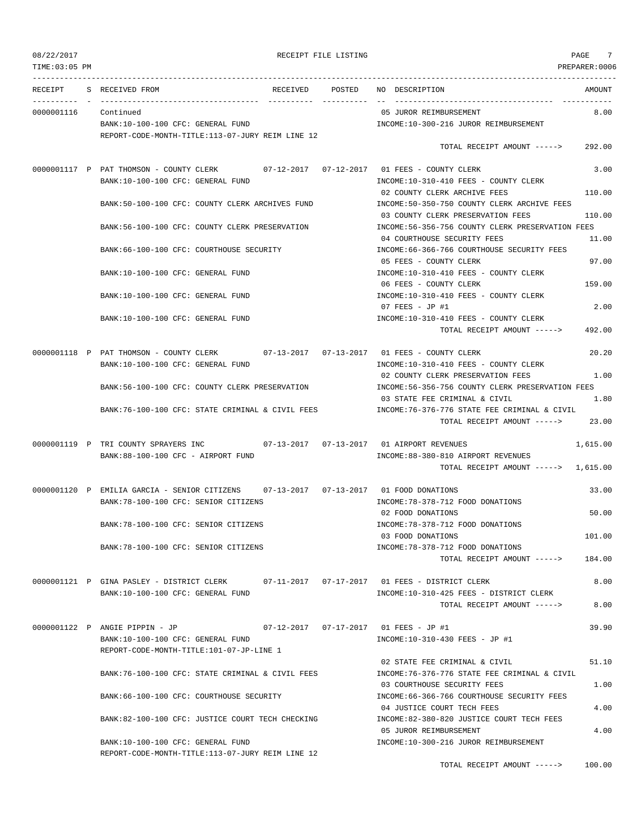| 08/22/2017     |                                                                                                                               | RECEIPT FILE LISTING |                                                                                        | 7<br>PAGE      |
|----------------|-------------------------------------------------------------------------------------------------------------------------------|----------------------|----------------------------------------------------------------------------------------|----------------|
| TIME: 03:05 PM |                                                                                                                               |                      |                                                                                        | PREPARER: 0006 |
| RECEIPT        | S RECEIVED FROM                                                                                                               | RECEIVED POSTED      | NO DESCRIPTION                                                                         | AMOUNT         |
| 0000001116     | Continued                                                                                                                     |                      | 05 JUROR REIMBURSEMENT                                                                 | 8.00           |
|                | BANK:10-100-100 CFC: GENERAL FUND                                                                                             |                      | INCOME:10-300-216 JUROR REIMBURSEMENT                                                  |                |
|                | REPORT-CODE-MONTH-TITLE:113-07-JURY REIM LINE 12                                                                              |                      |                                                                                        |                |
|                |                                                                                                                               |                      | TOTAL RECEIPT AMOUNT ----->                                                            | 292.00         |
|                | 0000001117 P PAT THOMSON - COUNTY CLERK 07-12-2017 07-12-2017 01 FEES - COUNTY CLERK<br>BANK:10-100-100 CFC: GENERAL FUND     |                      | INCOME:10-310-410 FEES - COUNTY CLERK                                                  | 3.00           |
|                | BANK:50-100-100 CFC: COUNTY CLERK ARCHIVES FUND                                                                               |                      | 02 COUNTY CLERK ARCHIVE FEES<br>INCOME: 50-350-750 COUNTY CLERK ARCHIVE FEES           | 110.00         |
|                |                                                                                                                               |                      | 03 COUNTY CLERK PRESERVATION FEES                                                      | 110.00         |
|                | BANK:56-100-100 CFC: COUNTY CLERK PRESERVATION                                                                                |                      | INCOME: 56-356-756 COUNTY CLERK PRESERVATION FEES<br>04 COURTHOUSE SECURITY FEES       | 11.00          |
|                | BANK:66-100-100 CFC: COURTHOUSE SECURITY                                                                                      |                      | INCOME: 66-366-766 COURTHOUSE SECURITY FEES<br>05 FEES - COUNTY CLERK                  | 97.00          |
|                | BANK:10-100-100 CFC: GENERAL FUND                                                                                             |                      | INCOME:10-310-410 FEES - COUNTY CLERK                                                  |                |
|                | BANK:10-100-100 CFC: GENERAL FUND                                                                                             |                      | 06 FEES - COUNTY CLERK<br>INCOME:10-310-410 FEES - COUNTY CLERK                        | 159.00         |
|                | BANK:10-100-100 CFC: GENERAL FUND                                                                                             |                      | 07 FEES - JP #1<br>INCOME:10-310-410 FEES - COUNTY CLERK                               | 2.00           |
|                |                                                                                                                               |                      | TOTAL RECEIPT AMOUNT ----->                                                            | 492.00         |
|                | 0000001118 P PAT THOMSON - COUNTY CLERK 07-13-2017 07-13-2017 01 FEES - COUNTY CLERK<br>BANK:10-100-100 CFC: GENERAL FUND     |                      | INCOME:10-310-410 FEES - COUNTY CLERK                                                  | 20.20          |
|                | BANK:56-100-100 CFC: COUNTY CLERK PRESERVATION                                                                                |                      | 02 COUNTY CLERK PRESERVATION FEES<br>INCOME: 56-356-756 COUNTY CLERK PRESERVATION FEES | 1.00           |
|                |                                                                                                                               |                      | 03 STATE FEE CRIMINAL & CIVIL                                                          | 1.80           |
|                | BANK:76-100-100 CFC: STATE CRIMINAL & CIVIL FEES                                                                              |                      | INCOME:76-376-776 STATE FEE CRIMINAL & CIVIL<br>TOTAL RECEIPT AMOUNT ----->            | 23.00          |
|                | 0000001119 P TRI COUNTY SPRAYERS INC<br>BANK:88-100-100 CFC - AIRPORT FUND                                                    |                      | INCOME:88-380-810 AIRPORT REVENUES                                                     | 1,615.00       |
|                |                                                                                                                               |                      | TOTAL RECEIPT AMOUNT -----> 1,615.00                                                   |                |
|                | 0000001120 P EMILIA GARCIA - SENIOR CITIZENS 07-13-2017 07-13-2017 01 FOOD DONATIONS<br>BANK: 78-100-100 CFC: SENIOR CITIZENS |                      | INCOME: 78-378-712 FOOD DONATIONS                                                      | 33.00          |
|                | BANK: 78-100-100 CFC: SENIOR CITIZENS                                                                                         |                      | 02 FOOD DONATIONS<br>INCOME: 78-378-712 FOOD DONATIONS                                 | 50.00          |
|                | BANK:78-100-100 CFC: SENIOR CITIZENS                                                                                          |                      | 03 FOOD DONATIONS<br>INCOME: 78-378-712 FOOD DONATIONS                                 | 101.00         |
|                |                                                                                                                               |                      | TOTAL RECEIPT AMOUNT ----->                                                            | 184.00         |
|                | 0000001121 P GINA PASLEY - DISTRICT CLERK 07-11-2017 07-17-2017 01 FEES - DISTRICT CLERK<br>BANK:10-100-100 CFC: GENERAL FUND |                      | INCOME:10-310-425 FEES - DISTRICT CLERK                                                | 8.00           |
|                |                                                                                                                               |                      | TOTAL RECEIPT AMOUNT ----->                                                            | 8.00           |
|                | 0000001122 P ANGIE PIPPIN - JP                                                                                                |                      |                                                                                        | 39.90          |
|                | BANK:10-100-100 CFC: GENERAL FUND                                                                                             |                      | INCOME:10-310-430 FEES - JP #1                                                         |                |
|                | REPORT-CODE-MONTH-TITLE:101-07-JP-LINE 1                                                                                      |                      |                                                                                        |                |
|                | BANK:76-100-100 CFC: STATE CRIMINAL & CIVIL FEES                                                                              |                      | 02 STATE FEE CRIMINAL & CIVIL<br>INCOME: 76-376-776 STATE FEE CRIMINAL & CIVIL         | 51.10          |
|                | BANK:66-100-100 CFC: COURTHOUSE SECURITY                                                                                      |                      | 03 COURTHOUSE SECURITY FEES<br>INCOME:66-366-766 COURTHOUSE SECURITY FEES              | 1.00           |
|                | BANK:82-100-100 CFC: JUSTICE COURT TECH CHECKING                                                                              |                      | 04 JUSTICE COURT TECH FEES<br>INCOME:82-380-820 JUSTICE COURT TECH FEES                | 4.00           |
|                |                                                                                                                               |                      | 05 JUROR REIMBURSEMENT                                                                 | 4.00           |
|                | BANK:10-100-100 CFC: GENERAL FUND<br>REPORT-CODE-MONTH-TITLE:113-07-JURY REIM LINE 12                                         |                      | INCOME:10-300-216 JUROR REIMBURSEMENT                                                  |                |

TOTAL RECEIPT AMOUNT -----> 100.00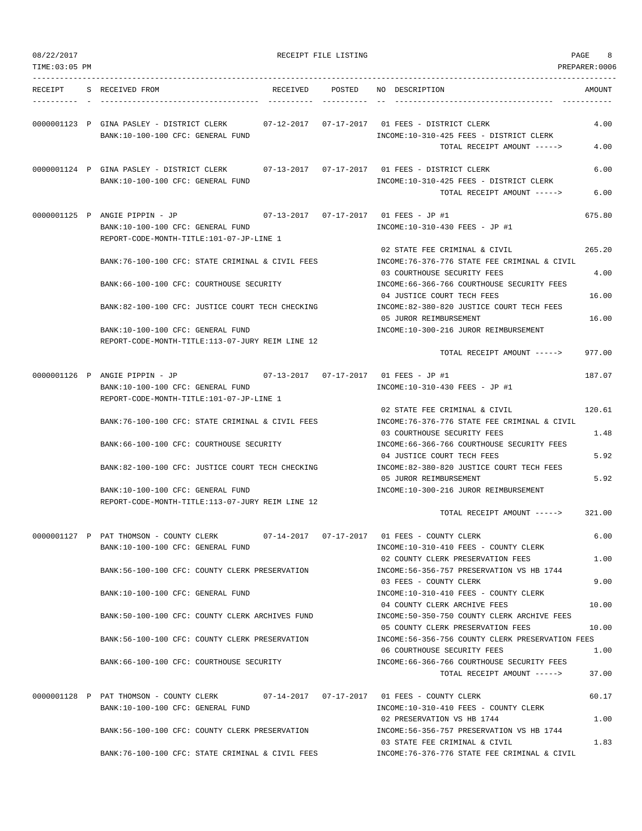| 08/22/2017<br>TIME:03:05 PM |                                                                                                                               | RECEIPT FILE LISTING |                                                                                                                              | PAGE<br>8<br>PREPARER: 0006 |
|-----------------------------|-------------------------------------------------------------------------------------------------------------------------------|----------------------|------------------------------------------------------------------------------------------------------------------------------|-----------------------------|
|                             | RECEIPT S RECEIVED FROM                                                                                                       |                      | RECEIVED POSTED NO DESCRIPTION                                                                                               | AMOUNT                      |
|                             | 0000001123 P GINA PASLEY - DISTRICT CLERK 07-12-2017 07-17-2017 01 FEES - DISTRICT CLERK<br>BANK:10-100-100 CFC: GENERAL FUND |                      | INCOME:10-310-425 FEES - DISTRICT CLERK<br>TOTAL RECEIPT AMOUNT ----->                                                       | 4.00<br>4.00                |
|                             | 0000001124 P GINA PASLEY - DISTRICT CLERK<br>BANK:10-100-100 CFC: GENERAL FUND                                                |                      | INCOME:10-310-425 FEES - DISTRICT CLERK<br>TOTAL RECEIPT AMOUNT ----->                                                       | 6.00<br>6.00                |
|                             | 0000001125 P ANGIE PIPPIN - JP<br>BANK:10-100-100 CFC: GENERAL FUND<br>REPORT-CODE-MONTH-TITLE:101-07-JP-LINE 1               |                      | INCOME:10-310-430 FEES - JP #1                                                                                               | 675.80                      |
|                             | BANK:76-100-100 CFC: STATE CRIMINAL & CIVIL FEES                                                                              |                      | 02 STATE FEE CRIMINAL & CIVIL<br>INCOME: 76-376-776 STATE FEE CRIMINAL & CIVIL                                               | 265.20                      |
|                             | BANK:66-100-100 CFC: COURTHOUSE SECURITY                                                                                      |                      | 03 COURTHOUSE SECURITY FEES<br>INCOME: 66-366-766 COURTHOUSE SECURITY FEES                                                   | 4.00                        |
|                             | BANK:82-100-100 CFC: JUSTICE COURT TECH CHECKING                                                                              |                      | 04 JUSTICE COURT TECH FEES<br>INCOME:82-380-820 JUSTICE COURT TECH FEES<br>05 JUROR REIMBURSEMENT                            | 16.00<br>16.00              |
|                             | BANK:10-100-100 CFC: GENERAL FUND<br>REPORT-CODE-MONTH-TITLE:113-07-JURY REIM LINE 12                                         |                      | INCOME:10-300-216 JUROR REIMBURSEMENT                                                                                        |                             |
|                             |                                                                                                                               |                      | TOTAL RECEIPT AMOUNT ----->                                                                                                  | 977.00                      |
|                             | 0000001126 P ANGIE PIPPIN - JP<br>BANK:10-100-100 CFC: GENERAL FUND<br>REPORT-CODE-MONTH-TITLE:101-07-JP-LINE 1               |                      | INCOME:10-310-430 FEES - JP #1                                                                                               | 187.07                      |
|                             | BANK:76-100-100 CFC: STATE CRIMINAL & CIVIL FEES                                                                              |                      | 02 STATE FEE CRIMINAL & CIVIL<br>INCOME:76-376-776 STATE FEE CRIMINAL & CIVIL<br>03 COURTHOUSE SECURITY FEES                 | 120.61<br>1.48              |
|                             | BANK:66-100-100 CFC: COURTHOUSE SECURITY                                                                                      |                      | INCOME: 66-366-766 COURTHOUSE SECURITY FEES<br>04 JUSTICE COURT TECH FEES                                                    | 5.92                        |
|                             | BANK:82-100-100 CFC: JUSTICE COURT TECH CHECKING                                                                              |                      | INCOME:82-380-820 JUSTICE COURT TECH FEES<br>05 JUROR REIMBURSEMENT                                                          | 5.92                        |
|                             | BANK:10-100-100 CFC: GENERAL FUND<br>REPORT-CODE-MONTH-TITLE:113-07-JURY REIM LINE 12                                         |                      | INCOME:10-300-216 JUROR REIMBURSEMENT                                                                                        |                             |
|                             |                                                                                                                               |                      | TOTAL RECEIPT AMOUNT ----->                                                                                                  | 321.00                      |
|                             | 0000001127 P PAT THOMSON - COUNTY CLERK<br>BANK:10-100-100 CFC: GENERAL FUND                                                  |                      | 07-14-2017  07-17-2017  01 FEES - COUNTY CLERK<br>INCOME:10-310-410 FEES - COUNTY CLERK<br>02 COUNTY CLERK PRESERVATION FEES | 6.00<br>1.00                |
|                             | BANK:56-100-100 CFC: COUNTY CLERK PRESERVATION                                                                                |                      | INCOME: 56-356-757 PRESERVATION VS HB 1744<br>03 FEES - COUNTY CLERK                                                         | 9.00                        |
|                             | BANK:10-100-100 CFC: GENERAL FUND                                                                                             |                      | INCOME:10-310-410 FEES - COUNTY CLERK<br>04 COUNTY CLERK ARCHIVE FEES                                                        | 10.00                       |
|                             | BANK:50-100-100 CFC: COUNTY CLERK ARCHIVES FUND                                                                               |                      | INCOME:50-350-750 COUNTY CLERK ARCHIVE FEES<br>05 COUNTY CLERK PRESERVATION FEES                                             | 10.00                       |
|                             | BANK:56-100-100 CFC: COUNTY CLERK PRESERVATION                                                                                |                      | INCOME:56-356-756 COUNTY CLERK PRESERVATION FEES<br>06 COURTHOUSE SECURITY FEES                                              | 1.00                        |
|                             | BANK:66-100-100 CFC: COURTHOUSE SECURITY                                                                                      |                      | INCOME: 66-366-766 COURTHOUSE SECURITY FEES<br>TOTAL RECEIPT AMOUNT ----->                                                   | 37.00                       |
|                             | 0000001128 P PAT THOMSON - COUNTY CLERK<br>BANK:10-100-100 CFC: GENERAL FUND                                                  |                      | 07-14-2017   07-17-2017   01 FEES - COUNTY CLERK<br>INCOME:10-310-410 FEES - COUNTY CLERK                                    | 60.17                       |
|                             | BANK:56-100-100 CFC: COUNTY CLERK PRESERVATION                                                                                |                      | 02 PRESERVATION VS HB 1744<br>INCOME: 56-356-757 PRESERVATION VS HB 1744                                                     | 1.00                        |
|                             | BANK:76-100-100 CFC: STATE CRIMINAL & CIVIL FEES                                                                              |                      | 03 STATE FEE CRIMINAL & CIVIL<br>INCOME:76-376-776 STATE FEE CRIMINAL & CIVIL                                                | 1.83                        |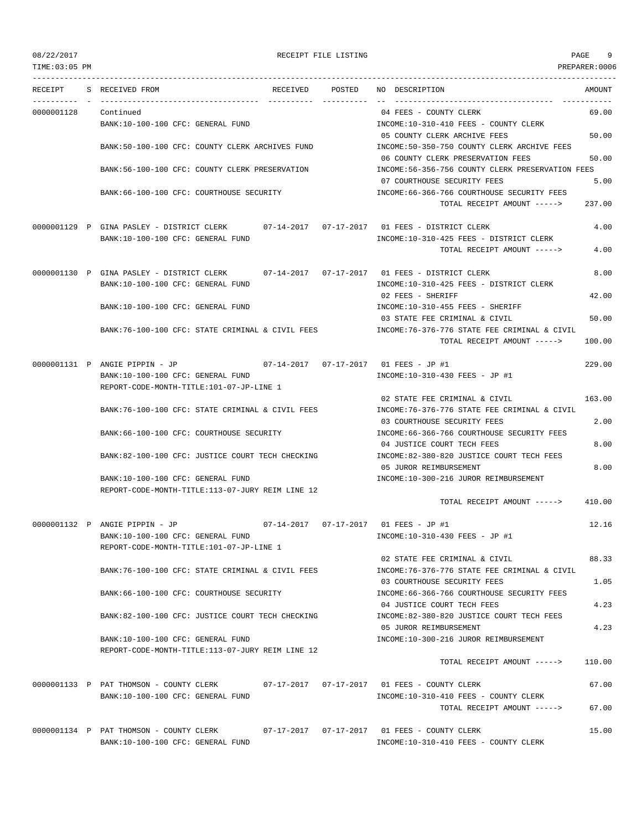TIME:03:05 PM PREPARER:0006 --------------------------------------------------------------------------------------------------------------------------------- RECEIPT S RECEIVED FROM RECEIVED POSTED NO DESCRIPTION AMOUNT ---------- - ----------------------------------- ---------- ---------- -- ----------------------------------- ----------- 0000001128 Continued 04 FEES - COUNTY CLERK 69.00 BANK:10-100-100 CFC: GENERAL FUND INCOME:10-310-410 FEES - COUNTY CLERK 05 COUNTY CLERK ARCHIVE FEES 50.00 BANK:50-100-100 CFC: COUNTY CLERK ARCHIVES FUND INCOME:50-350-750 COUNTY CLERK ARCHIVE FEES 06 COUNTY CLERK PRESERVATION FEES 50.00 BANK:56-100-100 CFC: COUNTY CLERK PRESERVATION INCOME:56-356-756 COUNTY CLERK PRESERVATION FEES 07 COURTHOUSE SECURITY FEES 5.00 BANK:66-100-100 CFC: COURTHOUSE SECURITY INCOME:66-366-766 COURTHOUSE SECURITY FEES TOTAL RECEIPT AMOUNT -----> 237.00 0000001129 P GINA PASLEY - DISTRICT CLERK 07-14-2017 07-17-2017 01 FEES - DISTRICT CLERK 4.00 BANK:10-100-100 CFC: GENERAL FUND INCOME:10-310-425 FEES - DISTRICT CLERK TOTAL RECEIPT AMOUNT -----> 4.00 0000001130 P GINA PASLEY - DISTRICT CLERK 07-14-2017 07-17-2017 01 FEES - DISTRICT CLERK 8.00 BANK:10-100-100 CFC: GENERAL FUND **INCOME:10-310-425 FEES - DISTRICT CLERK** 02 FEES - SHERIFF 42.00 BANK:10-100-100 CFC: GENERAL FUND INCOME:10-310-455 FEES - SHERIFF 03 STATE FEE CRIMINAL & CIVIL 50.00 BANK:76-100-100 CFC: STATE CRIMINAL & CIVIL FEES INCOME:76-376-776 STATE FEE CRIMINAL & CIVIL TOTAL RECEIPT AMOUNT -----> 100.00 0000001131 P ANGIE PIPPIN - JP 07-14-2017 07-17-2017 01 FEES - JP #1 229.00 BANK:10-100-100 CFC: GENERAL FUND **INCOME:10-310-430 FEES** - JP #1 REPORT-CODE-MONTH-TITLE:101-07-JP-LINE 1 02 STATE FEE CRIMINAL & CIVIL 163.00 BANK:76-100-100 CFC: STATE CRIMINAL & CIVIL FEES INCOME:76-376-776 STATE FEE CRIMINAL & CIVIL 03 COURTHOUSE SECURITY FEES 2.00 BANK:66-100-100 CFC: COURTHOUSE SECURITY INCOME:66-366-766 COURTHOUSE SECURITY FEES 04 DESPITCE COURT TECH FEES 8.00 BANK:82-100-100 CFC: JUSTICE COURT TECH CHECKING INCOME:82-380-820 JUSTICE COURT TECH FEES 05 JUROR REIMBURSEMENT 8.00 BANK:10-100-100 CFC: GENERAL FUND INCOME:10-300-216 JUROR REIMBURSEMENT REPORT-CODE-MONTH-TITLE:113-07-JURY REIM LINE 12 TOTAL RECEIPT AMOUNT -----> 410.00 0000001132 P ANGIE PIPPIN - JP 07-14-2017 07-17-2017 01 FEES - JP #1 12.16 BANK:10-100-100 CFC: GENERAL FUND INCOME:10-310-430 FEES - JP #1 REPORT-CODE-MONTH-TITLE:101-07-JP-LINE 1 02 STATE FEE CRIMINAL & CIVIL 6 BANK:76-100-100 CFC: STATE CRIMINAL & CIVIL FEES INCOME:76-376-776 STATE FEE CRIMINAL & CIVIL 03 COURTHOUSE SECURITY FEES 1.05 BANK:66-100-100 CFC: COURTHOUSE SECURITY INCOME:66-366-766 COURTHOUSE SECURITY FEES 04 JUSTICE COURT TECH FEES 4.23 BANK:82-100-100 CFC: JUSTICE COURT TECH CHECKING INCOME:82-380-820 JUSTICE COURT TECH FEES 05 JUROR REIMBURSEMENT 4.23 BANK:10-100-100 CFC: GENERAL FUND INCOME:10-300-216 JUROR REIMBURSEMENT REPORT-CODE-MONTH-TITLE:113-07-JURY REIM LINE 12 TOTAL RECEIPT AMOUNT -----> 110.00 0000001133 P PAT THOMSON - COUNTY CLERK 07-17-2017 07-17-2017 01 FEES - COUNTY CLERK 67.00 BANK:10-100-100 CFC: GENERAL FUND INCOME:10-310-410 FEES - COUNTY CLERK TOTAL RECEIPT AMOUNT -----> 67.00 0000001134 P PAT THOMSON - COUNTY CLERK 07-17-2017 07-17-2017 01 FEES - COUNTY CLERK 15.00

BANK:10-100-100 CFC: GENERAL FUND INCOME:10-310-410 FEES - COUNTY CLERK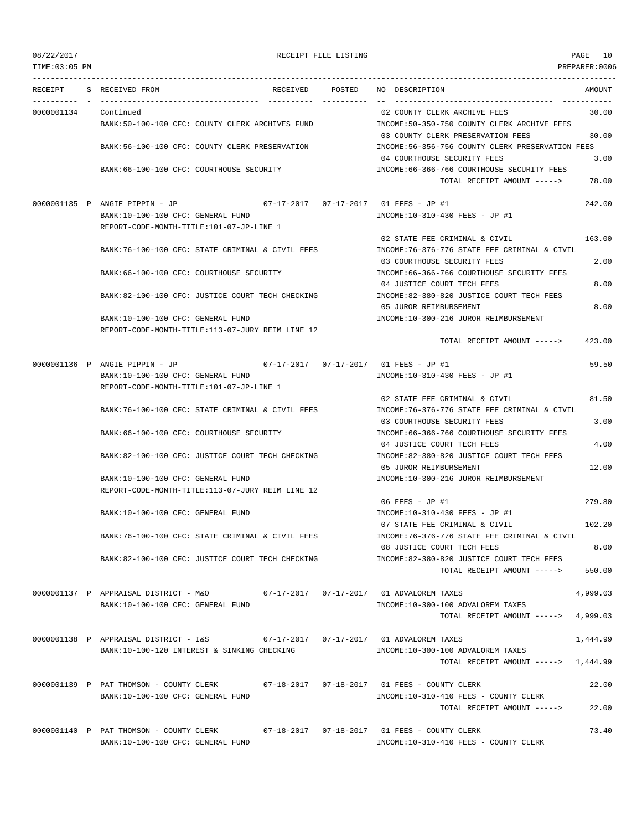TIME:03:05 PM PREPARER:0006 --------------------------------------------------------------------------------------------------------------------------------- RECEIPT S RECEIVED FROM RECEIVED POSTED NO DESCRIPTION AMOUNT ---------- - ----------------------------------- ---------- ---------- -- ----------------------------------- ----------- 0000001134 Continued 02 COUNTY CLERK ARCHIVE FEES 30.00 BANK:50-100-100 CFC: COUNTY CLERK ARCHIVES FUND INCOME:50-350-750 COUNTY CLERK ARCHIVE FEES 03 COUNTY CLERK PRESERVATION FEES 30.00 BANK:56-100-100 CFC: COUNTY CLERK PRESERVATION INCOME:56-356-756 COUNTY CLERK PRESERVATION FEES 04 COURTHOUSE SECURITY FEES 3.00 BANK:66-100-100 CFC: COURTHOUSE SECURITY INCOME:66-366-766 COURTHOUSE SECURITY FEES TOTAL RECEIPT AMOUNT -----> 78.00 0000001135 P ANGIE PIPPIN - JP 07-17-2017 07-17-2017 01 FEES - JP #1 242.00 BANK:10-100-100 CFC: GENERAL FUND INCOME:10-310-430 FEES - JP #1 REPORT-CODE-MONTH-TITLE:101-07-JP-LINE 1 02 STATE FEE CRIMINAL & CIVIL 163.00 BANK:76-100-100 CFC: STATE CRIMINAL & CIVIL FEES INCOME:76-376-776 STATE FEE CRIMINAL & CIVIL 03 COURTHOUSE SECURITY FEES 2.00 BANK:66-100-100 CFC: COURTHOUSE SECURITY INCOME:66-366-766 COURTHOUSE SECURITY FEES 04 DIE TECH FEES 8.000 BLOCKER FEES BANK:82-100-100 CFC: JUSTICE COURT TECH CHECKING INCOME:82-380-820 JUSTICE COURT TECH FEES 05 JUROR REIMBURSEMENT 8.00 BANK:10-100-100 CFC: GENERAL FUND INCOME:10-300-216 JUROR REIMBURSEMENT REPORT-CODE-MONTH-TITLE:113-07-JURY REIM LINE 12 TOTAL RECEIPT AMOUNT -----> 423.00 0000001136 P ANGIE PIPPIN - JP 07-17-2017 07-17-2017 01 FEES - JP #1 59.50 BANK:10-100-100 CFC: GENERAL FUND **INCOME:10-310-430 FEES** - JP #1 REPORT-CODE-MONTH-TITLE:101-07-JP-LINE 1 02 STATE FEE CRIMINAL & CIVIL 81.50 BANK:76-100-100 CFC: STATE CRIMINAL & CIVIL FEES INCOME:76-376-776 STATE FEE CRIMINAL & CIVIL 03 COURTHOUSE SECURITY FEES 3.00 BANK:66-100-100 CFC: COURTHOUSE SECURITY CONTROLL:66-366-766 COURTHOUSE SECURITY FEES 04 JUSTICE COURT TECH FEES 4.00 BANK:82-100-100 CFC: JUSTICE COURT TECH CHECKING INCOME:82-380-820 JUSTICE COURT TECH FEES 05 JUROR REIMBURSEMENT 12.00 BANK:10-100-100 CFC: GENERAL FUND INCOME:10-300-216 JUROR REIMBURSEMENT REPORT-CODE-MONTH-TITLE:113-07-JURY REIM LINE 12 06 FEES - JP #1 279.80 BANK:10-100-100 CFC: GENERAL FUND INCOME:10-310-430 FEES - JP #1 07 STATE FEE CRIMINAL & CIVIL 102.20 BANK:76-100-100 CFC: STATE CRIMINAL & CIVIL FEES INCOME:76-376-776 STATE FEE CRIMINAL & CIVIL 08 JUSTICE COURT TECH FEES 8.00 BANK:82-100-100 CFC: JUSTICE COURT TECH CHECKING INCOME:82-380-820 JUSTICE COURT TECH FEES TOTAL RECEIPT AMOUNT -----> 550.00 0000001137 P APPRAISAL DISTRICT - M&O 07-17-2017 07-17-2017 01 ADVALOREM TAXES 4,999.03 BANK:10-100-100 CFC: GENERAL FUND INCOME:10-300-100 ADVALOREM TAXES TOTAL RECEIPT AMOUNT  $--- 2$  4,999.03 0000001138 P APPRAISAL DISTRICT - I&S 07-17-2017 07-17-2017 01 ADVALOREM TAXES 1,444.99 BANK:10-100-120 INTEREST & SINKING CHECKING  $INCOME:10-300-100$  ADVALOREM TAXES TOTAL RECEIPT AMOUNT -----> 1,444.99 0000001139 P PAT THOMSON - COUNTY CLERK 07-18-2017 07-18-2017 01 FEES - COUNTY CLERK 22.00 BANK:10-100-100 CFC: GENERAL FUND INCOME:10-310-410 FEES - COUNTY CLERK TOTAL RECEIPT AMOUNT -----> 22.00 0000001140 P PAT THOMSON - COUNTY CLERK 07-18-2017 07-18-2017 01 FEES - COUNTY CLERK 73.40

BANK:10-100-100 CFC: GENERAL FUND INCOME:10-310-410 FEES - COUNTY CLERK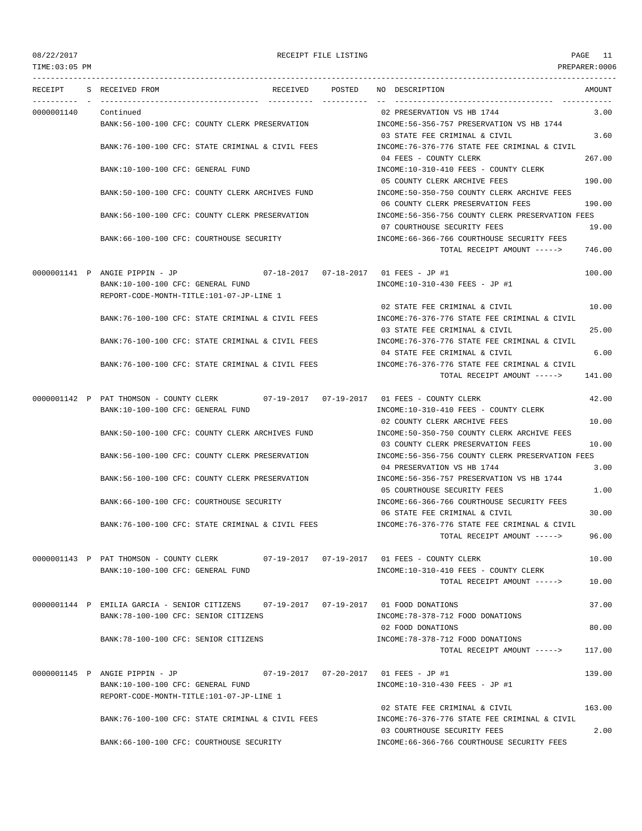TIME:03:05 PM PREPARER:0006 --------------------------------------------------------------------------------------------------------------------------------- RECEIPT S RECEIVED FROM THE RECEIVED POSTED NO DESCRIPTION THE RECEIVED AMOUNT ---------- - ----------------------------------- ---------- ---------- -- ----------------------------------- ----------- 0000001140 Continued 02 PRESERVATION VS HB 1744 3.00 BANK:56-100-100 CFC: COUNTY CLERK PRESERVATION INCOME:56-356-757 PRESERVATION VS HB 1744 03 STATE FEE CRIMINAL & CIVIL 3.60 BANK:76-100-100 CFC: STATE CRIMINAL & CIVIL FEES INCOME:76-376-776 STATE FEE CRIMINAL & CIVIL 04 FEES - COUNTY CLERK 267.00 BANK:10-100-100 CFC: GENERAL FUND INCOME:10-310-410 FEES - COUNTY CLERK 05 COUNTY CLERK ARCHIVE FEES 190.00 BANK:50-100-100 CFC: COUNTY CLERK ARCHIVES FUND INCOME:50-350-750 COUNTY CLERK ARCHIVE FEES 06 COUNTY CLERK PRESERVATION FEES 190.00 BANK:56-100-100 CFC: COUNTY CLERK PRESERVATION INCOME:56-356-756 COUNTY CLERK PRESERVATION FEES 07 COURTHOUSE SECURITY FEES 19.00 BANK:66-100-100 CFC: COURTHOUSE SECURITY INCOME:66-366-766 COURTHOUSE SECURITY FEES TOTAL RECEIPT AMOUNT -----> 746.00 0000001141 P ANGIE PIPPIN - JP 07-18-2017 07-18-2017 01 FEES - JP #1 100.00 BANK:10-100-100 CFC: GENERAL FUND INCOME:10-310-430 FEES - JP #1 REPORT-CODE-MONTH-TITLE:101-07-JP-LINE 1 02 STATE FEE CRIMINAL & CIVIL 10.00 BANK:76-100-100 CFC: STATE CRIMINAL & CIVIL FEES INCOME:76-376-776 STATE FEE CRIMINAL & CIVIL 03 STATE FEE CRIMINAL & CIVIL 25.00 BANK:76-100-100 CFC: STATE CRIMINAL & CIVIL FEES INCOME:76-376-776 STATE FEE CRIMINAL & CIVIL 04 STATE FEE CRIMINAL & CIVIL 6.00 BANK:76-100-100 CFC: STATE CRIMINAL & CIVIL FEES INCOME:76-376-776 STATE FEE CRIMINAL & CIVIL TOTAL RECEIPT AMOUNT -----> 141.00 0000001142 P PAT THOMSON - COUNTY CLERK 07-19-2017 07-19-2017 01 FEES - COUNTY CLERK 42.00 BANK:10-100-100 CFC: GENERAL FUND INCOME:10-310-410 FEES - COUNTY CLERK 02 COUNTY CLERK ARCHIVE FEES 10.00 BANK:50-100-100 CFC: COUNTY CLERK ARCHIVES FUND INCOME:50-350-750 COUNTY CLERK ARCHIVE FEES 03 COUNTY CLERK PRESERVATION FEES 10.00 BANK:56-100-100 CFC: COUNTY CLERK PRESERVATION INCOME:56-356-756 COUNTY CLERK PRESERVATION FEES 04 PRESERVATION VS HB 1744 3.00 BANK:56-100-100 CFC: COUNTY CLERK PRESERVATION INCOME:56-356-757 PRESERVATION VS HB 1744 05 COURTHOUSE SECURITY FEES 1.00 BANK:66-100-100 CFC: COURTHOUSE SECURITY INCOME:66-366-766 COURTHOUSE SECURITY FEES 06 STATE FEE CRIMINAL & CIVIL 30 00 BANK:76-100-100 CFC: STATE CRIMINAL & CIVIL FEES INCOME:76-376-776 STATE FEE CRIMINAL & CIVIL TOTAL RECEIPT AMOUNT -----> 96.00 0000001143 P PAT THOMSON - COUNTY CLERK 07-19-2017 07-19-2017 01 FEES - COUNTY CLERK 10.00 BANK:10-100-100 CFC: GENERAL FUND INCOME:10-310-410 FEES - COUNTY CLERK TOTAL RECEIPT AMOUNT -----> 10.00 0000001144 P EMILIA GARCIA - SENIOR CITIZENS 07-19-2017 07-19-2017 01 FOOD DONATIONS 37.00 BANK:78-100-100 CFC: SENIOR CITIZENS  $N = 278-378-712$  FOOD DONATIONS 02 FOOD DONATIONS 80.00 BANK:78-100-100 CFC: SENIOR CITIZENS INCOME:78-378-712 FOOD DONATIONS TOTAL RECEIPT AMOUNT -----> 117.00 0000001145 P ANGIE PIPPIN - JP 07-19-2017 07-20-2017 01 FEES - JP #1 139.00 BANK:10-100-100 CFC: GENERAL FUND INCOME:10-310-430 FEES - JP #1 REPORT-CODE-MONTH-TITLE:101-07-JP-LINE 1 02 STATE FEE CRIMINAL & CIVIL 163.00 BANK:76-100-100 CFC: STATE CRIMINAL & CIVIL FEES INCOME:76-376-776 STATE FEE CRIMINAL & CIVIL 03 COURTHOUSE SECURITY FEES 2.00 BANK:66-100-100 CFC: COURTHOUSE SECURITY INCOME:66-366-766 COURTHOUSE SECURITY FEES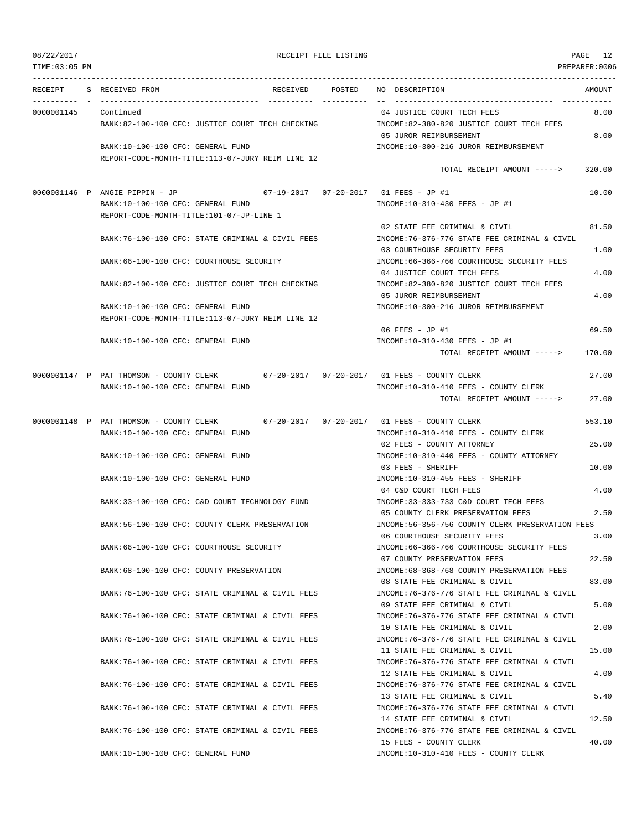| TIME: 03:05 PM |                                                                                       |                                                                                       | PREPARER: 0006 |
|----------------|---------------------------------------------------------------------------------------|---------------------------------------------------------------------------------------|----------------|
| RECEIPT        | RECEIVED POSTED<br>S RECEIVED FROM                                                    | NO DESCRIPTION                                                                        | AMOUNT         |
| 0000001145     | Continued                                                                             | 04 JUSTICE COURT TECH FEES                                                            | 8.00           |
|                | BANK:82-100-100 CFC: JUSTICE COURT TECH CHECKING                                      | INCOME:82-380-820 JUSTICE COURT TECH FEES<br>05 JUROR REIMBURSEMENT                   | 8.00           |
|                | BANK:10-100-100 CFC: GENERAL FUND<br>REPORT-CODE-MONTH-TITLE:113-07-JURY REIM LINE 12 | INCOME:10-300-216 JUROR REIMBURSEMENT                                                 |                |
|                |                                                                                       | TOTAL RECEIPT AMOUNT ----->                                                           | 320.00         |
|                | 0000001146 P ANGIE PIPPIN - JP                                                        |                                                                                       | 10.00          |
|                | BANK:10-100-100 CFC: GENERAL FUND<br>REPORT-CODE-MONTH-TITLE:101-07-JP-LINE 1         | INCOME:10-310-430 FEES - JP #1                                                        |                |
|                |                                                                                       | 02 STATE FEE CRIMINAL & CIVIL                                                         | 81.50          |
|                | BANK:76-100-100 CFC: STATE CRIMINAL & CIVIL FEES                                      | INCOME: 76-376-776 STATE FEE CRIMINAL & CIVIL<br>03 COURTHOUSE SECURITY FEES          | 1.00           |
|                | BANK:66-100-100 CFC: COURTHOUSE SECURITY                                              | INCOME: 66-366-766 COURTHOUSE SECURITY FEES                                           |                |
|                | BANK:82-100-100 CFC: JUSTICE COURT TECH CHECKING                                      | 04 JUSTICE COURT TECH FEES<br>INCOME:82-380-820 JUSTICE COURT TECH FEES               | 4.00           |
|                |                                                                                       | 05 JUROR REIMBURSEMENT                                                                | 4.00           |
|                | BANK:10-100-100 CFC: GENERAL FUND<br>REPORT-CODE-MONTH-TITLE:113-07-JURY REIM LINE 12 | INCOME:10-300-216 JUROR REIMBURSEMENT                                                 |                |
|                |                                                                                       | 06 FEES - JP #1                                                                       | 69.50          |
|                | BANK:10-100-100 CFC: GENERAL FUND                                                     | INCOME:10-310-430 FEES - JP #1<br>TOTAL RECEIPT AMOUNT ----->                         | 170.00         |
|                |                                                                                       |                                                                                       |                |
|                | 0000001147 P PAT THOMSON - COUNTY CLERK 07-20-2017 07-20-2017 01 FEES - COUNTY CLERK  |                                                                                       | 27.00          |
|                | BANK:10-100-100 CFC: GENERAL FUND                                                     | INCOME:10-310-410 FEES - COUNTY CLERK<br>TOTAL RECEIPT AMOUNT ----->                  | 27.00          |
|                | $07 - 20 - 2017$ $07 - 20 - 2017$<br>0000001148 P PAT THOMSON - COUNTY CLERK          | 01 FEES - COUNTY CLERK                                                                | 553.10         |
|                | BANK:10-100-100 CFC: GENERAL FUND                                                     | INCOME:10-310-410 FEES - COUNTY CLERK<br>02 FEES - COUNTY ATTORNEY                    | 25.00          |
|                | BANK:10-100-100 CFC: GENERAL FUND                                                     | INCOME:10-310-440 FEES - COUNTY ATTORNEY                                              |                |
|                |                                                                                       | 03 FEES - SHERIFF                                                                     | 10.00          |
|                | BANK:10-100-100 CFC: GENERAL FUND                                                     | INCOME:10-310-455 FEES - SHERIFF<br>04 C&D COURT TECH FEES                            | 4.00           |
|                | BANK:33-100-100 CFC: C&D COURT TECHNOLOGY FUND                                        | INCOME: 33-333-733 C&D COURT TECH FEES                                                |                |
|                | BANK:56-100-100 CFC: COUNTY CLERK PRESERVATION                                        | 05 COUNTY CLERK PRESERVATION FEES<br>INCOME:56-356-756 COUNTY CLERK PRESERVATION FEES | 2.50           |
|                |                                                                                       | 06 COURTHOUSE SECURITY FEES                                                           | 3.00           |
|                | BANK:66-100-100 CFC: COURTHOUSE SECURITY                                              | INCOME:66-366-766 COURTHOUSE SECURITY FEES<br>07 COUNTY PRESERVATION FEES             | 22.50          |
|                | BANK:68-100-100 CFC: COUNTY PRESERVATION                                              | INCOME: 68-368-768 COUNTY PRESERVATION FEES                                           |                |
|                | BANK:76-100-100 CFC: STATE CRIMINAL & CIVIL FEES                                      | 08 STATE FEE CRIMINAL & CIVIL<br>INCOME: 76-376-776 STATE FEE CRIMINAL & CIVIL        | 83.00          |
|                |                                                                                       | 09 STATE FEE CRIMINAL & CIVIL                                                         | 5.00           |
|                | BANK:76-100-100 CFC: STATE CRIMINAL & CIVIL FEES                                      | INCOME:76-376-776 STATE FEE CRIMINAL & CIVIL<br>10 STATE FEE CRIMINAL & CIVIL         | 2.00           |
|                | BANK:76-100-100 CFC: STATE CRIMINAL & CIVIL FEES                                      | INCOME: 76-376-776 STATE FEE CRIMINAL & CIVIL                                         |                |
|                | BANK:76-100-100 CFC: STATE CRIMINAL & CIVIL FEES                                      | 11 STATE FEE CRIMINAL & CIVIL<br>INCOME: 76-376-776 STATE FEE CRIMINAL & CIVIL        | 15.00          |
|                |                                                                                       | 12 STATE FEE CRIMINAL & CIVIL                                                         | 4.00           |
|                | BANK:76-100-100 CFC: STATE CRIMINAL & CIVIL FEES                                      | INCOME: 76-376-776 STATE FEE CRIMINAL & CIVIL<br>13 STATE FEE CRIMINAL & CIVIL        | 5.40           |
|                | BANK:76-100-100 CFC: STATE CRIMINAL & CIVIL FEES                                      | INCOME: 76-376-776 STATE FEE CRIMINAL & CIVIL                                         |                |
|                |                                                                                       | 14 STATE FEE CRIMINAL & CIVIL                                                         | 12.50          |
|                | BANK:76-100-100 CFC: STATE CRIMINAL & CIVIL FEES                                      | INCOME:76-376-776 STATE FEE CRIMINAL & CIVIL<br>15 FEES - COUNTY CLERK                | 40.00          |
|                | BANK:10-100-100 CFC: GENERAL FUND                                                     | INCOME:10-310-410 FEES - COUNTY CLERK                                                 |                |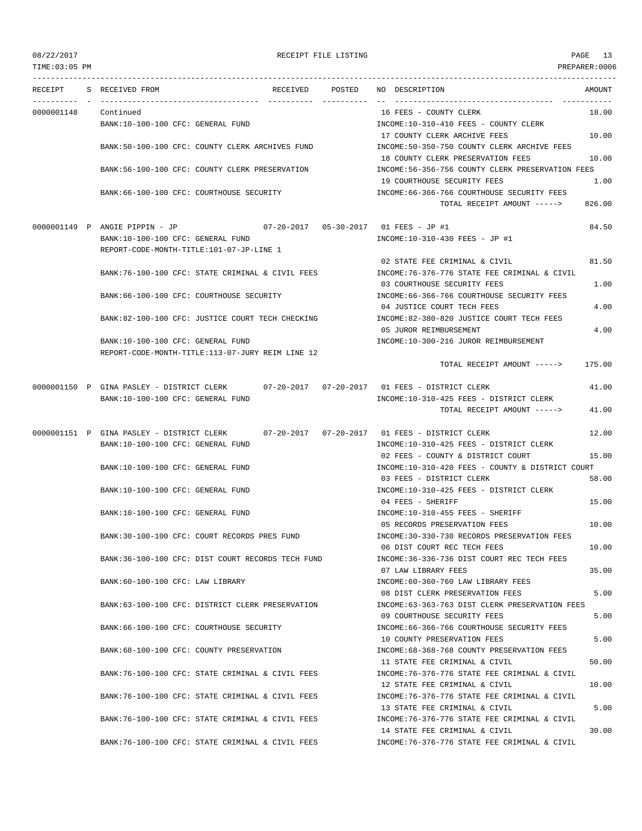TIME:03:05 PM PREPARER:0006

| RECEIPT    | S RECEIVED FROM                                                                          | RECEIVED | POSTED | NO DESCRIPTION<br>AMOUNT                                                                |  |
|------------|------------------------------------------------------------------------------------------|----------|--------|-----------------------------------------------------------------------------------------|--|
| 0000001148 | Continued                                                                                |          |        | 16 FEES - COUNTY CLERK<br>18.00                                                         |  |
|            | BANK:10-100-100 CFC: GENERAL FUND                                                        |          |        | INCOME:10-310-410 FEES - COUNTY CLERK                                                   |  |
|            |                                                                                          |          |        | 17 COUNTY CLERK ARCHIVE FEES<br>10.00                                                   |  |
|            | BANK:50-100-100 CFC: COUNTY CLERK ARCHIVES FUND                                          |          |        | INCOME:50-350-750 COUNTY CLERK ARCHIVE FEES                                             |  |
|            |                                                                                          |          |        | 18 COUNTY CLERK PRESERVATION FEES<br>10.00                                              |  |
|            | BANK:56-100-100 CFC: COUNTY CLERK PRESERVATION                                           |          |        | INCOME:56-356-756 COUNTY CLERK PRESERVATION FEES<br>19 COURTHOUSE SECURITY FEES<br>1.00 |  |
|            | BANK: 66-100-100 CFC: COURTHOUSE SECURITY                                                |          |        | INCOME: 66-366-766 COURTHOUSE SECURITY FEES                                             |  |
|            |                                                                                          |          |        | 826.00<br>TOTAL RECEIPT AMOUNT ----->                                                   |  |
|            | 0000001149 P ANGIE PIPPIN - JP                                                           |          |        | 84.50                                                                                   |  |
|            | BANK:10-100-100 CFC: GENERAL FUND                                                        |          |        | INCOME:10-310-430 FEES - JP #1                                                          |  |
|            | REPORT-CODE-MONTH-TITLE:101-07-JP-LINE 1                                                 |          |        |                                                                                         |  |
|            |                                                                                          |          |        | 02 STATE FEE CRIMINAL & CIVIL<br>81.50                                                  |  |
|            | BANK:76-100-100 CFC: STATE CRIMINAL & CIVIL FEES                                         |          |        | INCOME:76-376-776 STATE FEE CRIMINAL & CIVIL<br>03 COURTHOUSE SECURITY FEES<br>1.00     |  |
|            | BANK:66-100-100 CFC: COURTHOUSE SECURITY                                                 |          |        | INCOME: 66-366-766 COURTHOUSE SECURITY FEES                                             |  |
|            |                                                                                          |          |        | 4.00<br>04 JUSTICE COURT TECH FEES                                                      |  |
|            | BANK:82-100-100 CFC: JUSTICE COURT TECH CHECKING                                         |          |        | INCOME:82-380-820 JUSTICE COURT TECH FEES                                               |  |
|            |                                                                                          |          |        | 4.00<br>05 JUROR REIMBURSEMENT                                                          |  |
|            | BANK:10-100-100 CFC: GENERAL FUND<br>REPORT-CODE-MONTH-TITLE:113-07-JURY REIM LINE 12    |          |        | INCOME:10-300-216 JUROR REIMBURSEMENT                                                   |  |
|            |                                                                                          |          |        | 175.00<br>TOTAL RECEIPT AMOUNT ----->                                                   |  |
|            | 0000001150 P GINA PASLEY - DISTRICT CLERK 07-20-2017 07-20-2017 01 FEES - DISTRICT CLERK |          |        | 41.00                                                                                   |  |
|            | BANK:10-100-100 CFC: GENERAL FUND                                                        |          |        | INCOME:10-310-425 FEES - DISTRICT CLERK                                                 |  |
|            |                                                                                          |          |        | TOTAL RECEIPT AMOUNT -----><br>41.00                                                    |  |
|            | 0000001151 P GINA PASLEY - DISTRICT CLERK                                                |          |        | 12.00                                                                                   |  |
|            | BANK:10-100-100 CFC: GENERAL FUND                                                        |          |        | INCOME:10-310-425 FEES - DISTRICT CLERK                                                 |  |
|            |                                                                                          |          |        | 02 FEES - COUNTY & DISTRICT COURT<br>15.00                                              |  |
|            | BANK:10-100-100 CFC: GENERAL FUND                                                        |          |        | INCOME:10-310-420 FEES - COUNTY & DISTRICT COURT                                        |  |
|            | BANK:10-100-100 CFC: GENERAL FUND                                                        |          |        | 03 FEES - DISTRICT CLERK<br>58.00                                                       |  |
|            |                                                                                          |          |        | INCOME:10-310-425 FEES - DISTRICT CLERK<br>15.00<br>04 FEES - SHERIFF                   |  |
|            | BANK:10-100-100 CFC: GENERAL FUND                                                        |          |        | INCOME:10-310-455 FEES - SHERIFF                                                        |  |
|            |                                                                                          |          |        | 10.00<br>05 RECORDS PRESERVATION FEES                                                   |  |
|            | BANK:30-100-100 CFC: COURT RECORDS PRES FUND                                             |          |        | INCOME: 30-330-730 RECORDS PRESERVATION FEES                                            |  |
|            |                                                                                          |          |        | 06 DIST COURT REC TECH FEES<br>10.00                                                    |  |
|            | BANK:36-100-100 CFC: DIST COURT RECORDS TECH FUND                                        |          |        | INCOME: 36-336-736 DIST COURT REC TECH FEES<br>07 LAW LIBRARY FEES<br>35.00             |  |
|            | BANK:60-100-100 CFC: LAW LIBRARY                                                         |          |        | INCOME: 60-360-760 LAW LIBRARY FEES                                                     |  |
|            |                                                                                          |          |        | 5.00<br>08 DIST CLERK PRESERVATION FEES                                                 |  |
|            | BANK:63-100-100 CFC: DISTRICT CLERK PRESERVATION                                         |          |        | INCOME: 63-363-763 DIST CLERK PRESERVATION FEES                                         |  |
|            |                                                                                          |          |        | 09 COURTHOUSE SECURITY FEES<br>5.00                                                     |  |
|            | BANK: 66-100-100 CFC: COURTHOUSE SECURITY                                                |          |        | INCOME: 66-366-766 COURTHOUSE SECURITY FEES<br>10 COUNTY PRESERVATION FEES<br>5.00      |  |
|            | BANK:68-100-100 CFC: COUNTY PRESERVATION                                                 |          |        | INCOME: 68-368-768 COUNTY PRESERVATION FEES                                             |  |
|            |                                                                                          |          |        | 11 STATE FEE CRIMINAL & CIVIL<br>50.00                                                  |  |
|            | BANK:76-100-100 CFC: STATE CRIMINAL & CIVIL FEES                                         |          |        | INCOME: 76-376-776 STATE FEE CRIMINAL & CIVIL                                           |  |
|            |                                                                                          |          |        | 12 STATE FEE CRIMINAL & CIVIL<br>10.00                                                  |  |
|            | BANK:76-100-100 CFC: STATE CRIMINAL & CIVIL FEES                                         |          |        | INCOME: 76-376-776 STATE FEE CRIMINAL & CIVIL<br>5.00<br>13 STATE FEE CRIMINAL & CIVIL  |  |
|            | BANK:76-100-100 CFC: STATE CRIMINAL & CIVIL FEES                                         |          |        | INCOME: 76-376-776 STATE FEE CRIMINAL & CIVIL                                           |  |
|            |                                                                                          |          |        | 30.00<br>14 STATE FEE CRIMINAL & CIVIL                                                  |  |
|            | BANK:76-100-100 CFC: STATE CRIMINAL & CIVIL FEES                                         |          |        | INCOME: 76-376-776 STATE FEE CRIMINAL & CIVIL                                           |  |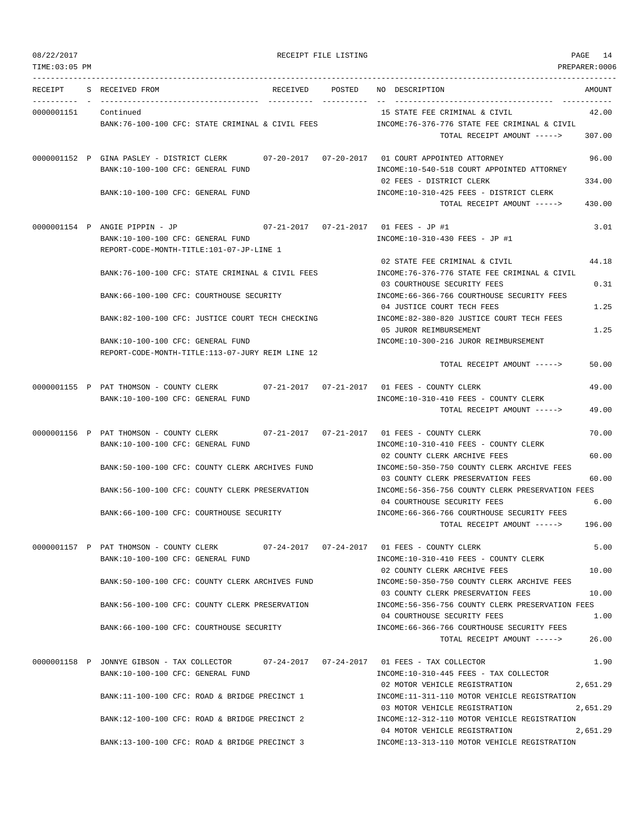TIME:03:05 PM PREPARER:0006 --------------------------------------------------------------------------------------------------------------------------------- RECEIPT S RECEIVED FROM RECEIVED POSTED NO DESCRIPTION AMOUNT ---------- - ----------------------------------- ---------- ---------- -- ----------------------------------- ----------- 0000001151 Continued 15 STATE FEE CRIMINAL & CIVIL 42.00 BANK:76-100-100 CFC: STATE CRIMINAL & CIVIL FEES INCOME:76-376-776 STATE FEE CRIMINAL & CIVIL TOTAL RECEIPT AMOUNT -----> 307.00 0000001152 P GINA PASLEY - DISTRICT CLERK 07-20-2017 07-20-2017 01 COURT APPOINTED ATTORNEY 96.00 BANK:10-100-100 CFC: GENERAL FUND INCOME:10-540-518 COURT APPOINTED ATTORNEY 02 FEES - DISTRICT CLERK 334.00 BANK:10-100-100 CFC: GENERAL FUND INCOME:10-310-425 FEES - DISTRICT CLERK TOTAL RECEIPT AMOUNT -----> 430.00 0000001154 P ANGIE PIPPIN - JP 07-21-2017 07-21-2017 01 FEES - JP #1 3.01 BANK:10-100-100 CFC: GENERAL FUND INCOME:10-310-430 FEES - JP #1 REPORT-CODE-MONTH-TITLE:101-07-JP-LINE 1 02 STATE FEE CRIMINAL & CIVIL 44.18 BANK:76-100-100 CFC: STATE CRIMINAL & CIVIL FEES INCOME:76-376-776 STATE FEE CRIMINAL & CIVIL 03 COURTHOUSE SECURITY FEES 0.31 BANK:66-100-100 CFC: COURTHOUSE SECURITY INCOME:66-366-766 COURTHOUSE SECURITY FEES 04 JUSTICE COURT TECH FEES 1.25 BANK:82-100-100 CFC: JUSTICE COURT TECH CHECKING INCOME:82-380-820 JUSTICE COURT TECH FEES 05 JUROR REIMBURSEMENT 1.25 BANK:10-100-100 CFC: GENERAL FUND INCOME:10-300-216 JUROR REIMBURSEMENT REPORT-CODE-MONTH-TITLE:113-07-JURY REIM LINE 12 TOTAL RECEIPT AMOUNT -----> 50.00 0000001155 P PAT THOMSON - COUNTY CLERK 07-21-2017 07-21-2017 01 FEES - COUNTY CLERK 49.00 BANK:10-100-100 CFC: GENERAL FUND INCOME:10-310-410 FEES - COUNTY CLERK TOTAL RECEIPT AMOUNT -----> 49.00 0000001156 P PAT THOMSON - COUNTY CLERK 07-21-2017 07-21-2017 01 FEES - COUNTY CLERK 70.00 BANK:10-100-100 CFC: GENERAL FUND INCOME:10-310-410 FEES - COUNTY CLERK 02 COUNTY CLERK ARCHIVE FEES 60.00 BANK:50-100-100 CFC: COUNTY CLERK ARCHIVES FUND INCOME:50-350-750 COUNTY CLERK ARCHIVE FEES 03 COUNTY CLERK PRESERVATION FEES 60.00 BANK:56-100-100 CFC: COUNTY CLERK PRESERVATION INCOME:56-356-756 COUNTY CLERK PRESERVATION FEES 04 COURTHOUSE SECURITY FEES 6.00 BANK:66-100-100 CFC: COURTHOUSE SECURITY INCOME:66-366-766 COURTHOUSE SECURITY FEES TOTAL RECEIPT AMOUNT -----> 196.00 0000001157 P PAT THOMSON - COUNTY CLERK 07-24-2017 07-24-2017 01 FEES - COUNTY CLERK 5.00 BANK:10-100-100 CFC: GENERAL FUND INCOME:10-310-410 FEES - COUNTY CLERK 02 COUNTY CLERK ARCHIVE FEES 10.00 BANK:50-100-100 CFC: COUNTY CLERK ARCHIVES FUND INCOME:50-350-750 COUNTY CLERK ARCHIVE FEES 03 COUNTY CLERK PRESERVATION FEES 10.00 BANK:56-100-100 CFC: COUNTY CLERK PRESERVATION INCOME:56-356-756 COUNTY CLERK PRESERVATION FEES 04 COURTHOUSE SECURITY FEES 1.00 BANK:66-100-100 CFC: COURTHOUSE SECURITY INCOME:66-366-766 COURTHOUSE SECURITY FEES TOTAL RECEIPT AMOUNT -----> 26.00 0000001158 P JONNYE GIBSON - TAX COLLECTOR 07-24-2017 07-24-2017 01 FEES - TAX COLLECTOR 1.90 BANK:10-100-100 CFC: GENERAL FUND INCOME:10-310-445 FEES - TAX COLLECTOR 02 MOTOR VEHICLE REGISTRATION 2,651.29 BANK:11-100-100 CFC: ROAD & BRIDGE PRECINCT 1 INCOME:11-311-110 MOTOR VEHICLE REGISTRATION 03 MOTOR VEHICLE REGISTRATION 2,651.29 BANK:12-100-100 CFC: ROAD & BRIDGE PRECINCT 2 INCOME:12-312-110 MOTOR VEHICLE REGISTRATION 04 MOTOR VEHICLE REGISTRATION 2,651.29 BANK:13-100-100 CFC: ROAD & BRIDGE PRECINCT 3 INCOME:13-313-110 MOTOR VEHICLE REGISTRATION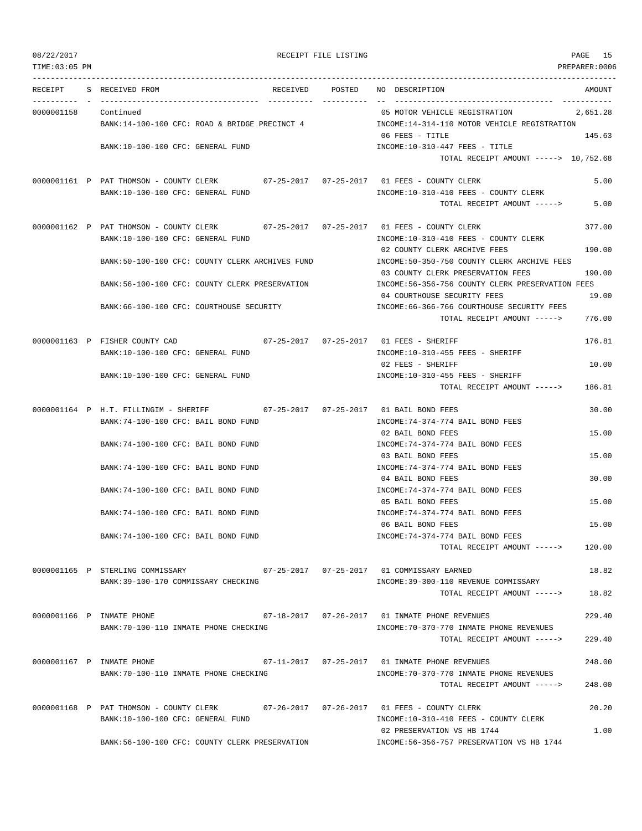| 08/22/2017<br>TIME: 03:05 PM |                                                                                                                           | RECEIPT FILE LISTING |                                                                                                                               | PAGE 15<br>PREPARER: 0006 |
|------------------------------|---------------------------------------------------------------------------------------------------------------------------|----------------------|-------------------------------------------------------------------------------------------------------------------------------|---------------------------|
|                              | RECEIPT S RECEIVED FROM                                                                                                   |                      | RECEIVED POSTED NO DESCRIPTION                                                                                                | AMOUNT                    |
| 0000001158 Continued         | BANK:14-100-100 CFC: ROAD & BRIDGE PRECINCT 4                                                                             |                      | ----------------------------- -----<br>05 MOTOR VEHICLE REGISTRATION<br>INCOME:14-314-110 MOTOR VEHICLE REGISTRATION          | 2,651.28                  |
|                              | BANK:10-100-100 CFC: GENERAL FUND                                                                                         |                      | 06 FEES - TITLE<br>$INCOME: 10-310-447$ FEES - TITLE<br>TOTAL RECEIPT AMOUNT -----> 10,752.68                                 | 145.63                    |
|                              | 0000001161 P PAT THOMSON - COUNTY CLERK 07-25-2017 07-25-2017 01 FEES - COUNTY CLERK<br>BANK:10-100-100 CFC: GENERAL FUND |                      | INCOME:10-310-410 FEES - COUNTY CLERK<br>TOTAL RECEIPT AMOUNT ----->                                                          | 5.00<br>5.00              |
|                              | 0000001162 P PAT THOMSON - COUNTY CLERK 07-25-2017 07-25-2017 01 FEES - COUNTY CLERK<br>BANK:10-100-100 CFC: GENERAL FUND |                      | INCOME:10-310-410 FEES - COUNTY CLERK                                                                                         | 377.00                    |
|                              | BANK:50-100-100 CFC: COUNTY CLERK ARCHIVES FUND                                                                           |                      | 02 COUNTY CLERK ARCHIVE FEES<br>INCOME:50-350-750 COUNTY CLERK ARCHIVE FEES<br>03 COUNTY CLERK PRESERVATION FEES              | 190.00<br>190.00          |
|                              | BANK:56-100-100 CFC: COUNTY CLERK PRESERVATION                                                                            |                      | INCOME:56-356-756 COUNTY CLERK PRESERVATION FEES<br>04 COURTHOUSE SECURITY FEES                                               | 19.00                     |
|                              | BANK:66-100-100 CFC: COURTHOUSE SECURITY                                                                                  |                      | INCOME: 66-366-766 COURTHOUSE SECURITY FEES<br>TOTAL RECEIPT AMOUNT ----->                                                    | 776.00                    |
|                              | 0000001163 P FISHER COUNTY CAD<br>BANK:10-100-100 CFC: GENERAL FUND                                                       |                      | INCOME:10-310-455 FEES - SHERIFF                                                                                              | 176.81                    |
|                              | BANK:10-100-100 CFC: GENERAL FUND                                                                                         |                      | 02 FEES - SHERIFF<br>INCOME:10-310-455 FEES - SHERIFF<br>TOTAL RECEIPT AMOUNT ----->                                          | 10.00<br>186.81           |
|                              | $0000001164$ P H.T. FILLINGIM - SHERIFF<br>BANK:74-100-100 CFC: BAIL BOND FUND                                            |                      | INCOME: 74-374-774 BAIL BOND FEES                                                                                             | 30.00                     |
|                              | BANK:74-100-100 CFC: BAIL BOND FUND                                                                                       |                      | 02 BAIL BOND FEES<br>INCOME: 74-374-774 BAIL BOND FEES<br>03 BAIL BOND FEES                                                   | 15.00<br>15.00            |
|                              | BANK:74-100-100 CFC: BAIL BOND FUND                                                                                       |                      | INCOME: 74-374-774 BAIL BOND FEES<br>04 BAIL BOND FEES                                                                        | 30.00                     |
|                              | BANK:74-100-100 CFC: BAIL BOND FUND                                                                                       |                      | INCOME: 74-374-774 BAIL BOND FEES<br>05 BAIL BOND FEES                                                                        | 15.00                     |
|                              | BANK:74-100-100 CFC: BAIL BOND FUND<br>BANK:74-100-100 CFC: BAIL BOND FUND                                                |                      | INCOME: 74-374-774 BAIL BOND FEES<br>06 BAIL BOND FEES<br>INCOME: 74-374-774 BAIL BOND FEES                                   | 15.00                     |
|                              |                                                                                                                           |                      | TOTAL RECEIPT AMOUNT ----->                                                                                                   | 120.00                    |
|                              | 0000001165 P STERLING COMMISSARY<br>07-25-2017  07-25-2017  01 COMMISSARY EARNED<br>BANK:39-100-170 COMMISSARY CHECKING   |                      | INCOME: 39-300-110 REVENUE COMMISSARY<br>TOTAL RECEIPT AMOUNT ----->                                                          | 18.82<br>18.82            |
|                              | 0000001166 P INMATE PHONE<br>BANK: 70-100-110 INMATE PHONE CHECKING                                                       |                      | 07-18-2017   07-26-2017   01 INMATE PHONE REVENUES<br>INCOME: 70-370-770 INMATE PHONE REVENUES<br>TOTAL RECEIPT AMOUNT -----> | 229.40<br>229.40          |
|                              | 0000001167 P INMATE PHONE<br>BANK:70-100-110 INMATE PHONE CHECKING                                                        |                      | INCOME: 70-370-770 INMATE PHONE REVENUES                                                                                      | 248.00                    |
|                              |                                                                                                                           |                      | TOTAL RECEIPT AMOUNT ----->                                                                                                   | 248.00                    |

0000001168 P PAT THOMSON - COUNTY CLERK 07-26-2017 07-26-2017 01 FEES - COUNTY CLERK 20.20 BANK:10-100-100 CFC: GENERAL FUND INCOME:10-310-410 FEES - COUNTY CLERK 02 PRESERVATION VS HB 1744 1.00

BANK:56-100-100 CFC: COUNTY CLERK PRESERVATION INCOME:56-356-757 PRESERVATION VS HB 1744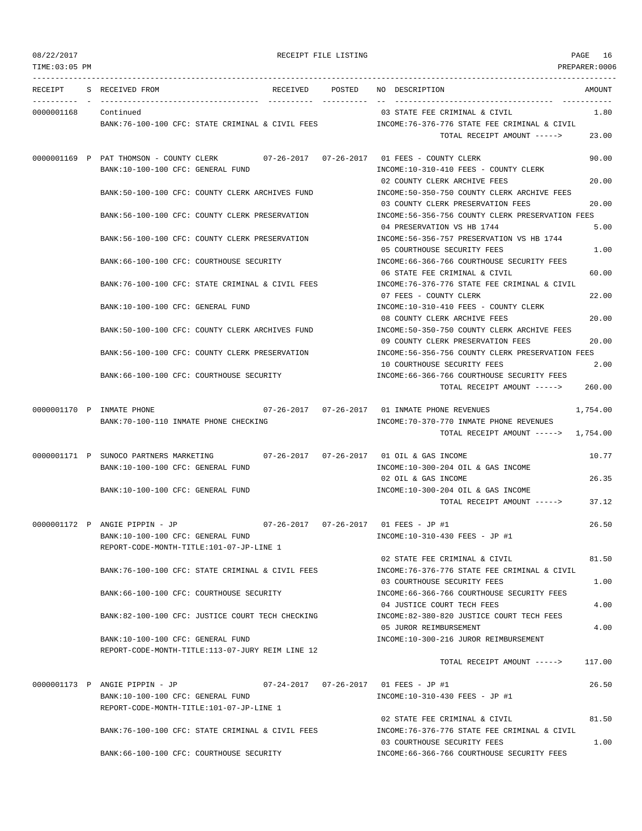| 08/22/2017<br>TIME: 03:05 PM | RECEIPT FILE LISTING                                                                                                                                       | PAGE<br>16<br>PREPARER:0006                                                                                                                      |
|------------------------------|------------------------------------------------------------------------------------------------------------------------------------------------------------|--------------------------------------------------------------------------------------------------------------------------------------------------|
|                              | RECEIPT S RECEIVED FROM<br>RECEIVED<br>POSTED                                                                                                              | NO DESCRIPTION<br>AMOUNT                                                                                                                         |
| 0000001168 Continued         | BANK:76-100-100 CFC: STATE CRIMINAL & CIVIL FEES                                                                                                           | 03 STATE FEE CRIMINAL & CIVIL<br>1.80<br>INCOME: 76-376-776 STATE FEE CRIMINAL & CIVIL<br>23.00<br>TOTAL RECEIPT AMOUNT ----->                   |
|                              | 0000001169 P PAT THOMSON - COUNTY CLERK<br>BANK:10-100-100 CFC: GENERAL FUND                                                                               | 90.00<br>INCOME:10-310-410 FEES - COUNTY CLERK                                                                                                   |
|                              | BANK:50-100-100 CFC: COUNTY CLERK ARCHIVES FUND                                                                                                            | 20.00<br>02 COUNTY CLERK ARCHIVE FEES<br>INCOME:50-350-750 COUNTY CLERK ARCHIVE FEES<br>03 COUNTY CLERK PRESERVATION FEES<br>20.00               |
|                              | BANK:56-100-100 CFC: COUNTY CLERK PRESERVATION                                                                                                             | INCOME:56-356-756 COUNTY CLERK PRESERVATION FEES<br>04 PRESERVATION VS HB 1744<br>5.00                                                           |
|                              | BANK:56-100-100 CFC: COUNTY CLERK PRESERVATION                                                                                                             | INCOME:56-356-757 PRESERVATION VS HB 1744<br>05 COURTHOUSE SECURITY FEES<br>1.00                                                                 |
|                              | BANK:66-100-100 CFC: COURTHOUSE SECURITY                                                                                                                   | INCOME: 66-366-766 COURTHOUSE SECURITY FEES<br>06 STATE FEE CRIMINAL & CIVIL<br>60.00                                                            |
|                              | BANK:76-100-100 CFC: STATE CRIMINAL & CIVIL FEES                                                                                                           | INCOME:76-376-776 STATE FEE CRIMINAL & CIVIL<br>22.00<br>07 FEES - COUNTY CLERK                                                                  |
|                              | BANK:10-100-100 CFC: GENERAL FUND                                                                                                                          | INCOME:10-310-410 FEES - COUNTY CLERK<br>08 COUNTY CLERK ARCHIVE FEES<br>20.00                                                                   |
|                              | BANK:50-100-100 CFC: COUNTY CLERK ARCHIVES FUND                                                                                                            | INCOME:50-350-750 COUNTY CLERK ARCHIVE FEES<br>20.00<br>09 COUNTY CLERK PRESERVATION FEES                                                        |
|                              | BANK:56-100-100 CFC: COUNTY CLERK PRESERVATION                                                                                                             | INCOME:56-356-756 COUNTY CLERK PRESERVATION FEES<br>10 COURTHOUSE SECURITY FEES<br>2.00                                                          |
|                              | BANK:66-100-100 CFC: COURTHOUSE SECURITY                                                                                                                   | INCOME: 66-366-766 COURTHOUSE SECURITY FEES<br>260.00<br>TOTAL RECEIPT AMOUNT ----->                                                             |
|                              | 0000001170 P INMATE PHONE<br>BANK: 70-100-110 INMATE PHONE CHECKING                                                                                        | 07-26-2017  07-26-2017  01 INMATE PHONE REVENUES<br>1,754.00<br>INCOME: 70-370-770 INMATE PHONE REVENUES<br>TOTAL RECEIPT AMOUNT -----> 1,754.00 |
|                              | 0000001171 P SUNOCO PARTNERS MARKETING<br>BANK:10-100-100 CFC: GENERAL FUND                                                                                | 10.77<br>INCOME:10-300-204 OIL & GAS INCOME                                                                                                      |
|                              | BANK:10-100-100 CFC: GENERAL FUND                                                                                                                          | 26.35<br>02 OIL & GAS INCOME<br>INCOME:10-300-204 OIL & GAS INCOME<br>37.12<br>TOTAL RECEIPT AMOUNT ----->                                       |
|                              | 0000001172 P ANGIE PIPPIN - JP<br>07-26-2017  07-26-2017  01 FEES - JP #1<br>BANK:10-100-100 CFC: GENERAL FUND                                             | 26.50<br>INCOME:10-310-430 FEES - JP #1                                                                                                          |
|                              | REPORT-CODE-MONTH-TITLE:101-07-JP-LINE 1<br>BANK:76-100-100 CFC: STATE CRIMINAL & CIVIL FEES                                                               | 81.50<br>02 STATE FEE CRIMINAL & CIVIL<br>INCOME: 76-376-776 STATE FEE CRIMINAL & CIVIL                                                          |
|                              | BANK: 66-100-100 CFC: COURTHOUSE SECURITY                                                                                                                  | 03 COURTHOUSE SECURITY FEES<br>1.00<br>INCOME: 66-366-766 COURTHOUSE SECURITY FEES                                                               |
|                              | BANK:82-100-100 CFC: JUSTICE COURT TECH CHECKING                                                                                                           | 4.00<br>04 JUSTICE COURT TECH FEES<br>INCOME:82-380-820 JUSTICE COURT TECH FEES                                                                  |
|                              | BANK:10-100-100 CFC: GENERAL FUND                                                                                                                          | 05 JUROR REIMBURSEMENT<br>4.00<br>INCOME:10-300-216 JUROR REIMBURSEMENT                                                                          |
|                              | REPORT-CODE-MONTH-TITLE:113-07-JURY REIM LINE 12                                                                                                           | 117.00<br>TOTAL RECEIPT AMOUNT ----->                                                                                                            |
|                              | 0000001173 P ANGIE PIPPIN - JP<br>07-24-2017  07-26-2017  01 FEES - JP #1<br>BANK:10-100-100 CFC: GENERAL FUND<br>REPORT-CODE-MONTH-TITLE:101-07-JP-LINE 1 | 26.50<br>INCOME:10-310-430 FEES - JP #1                                                                                                          |
|                              | BANK:76-100-100 CFC: STATE CRIMINAL & CIVIL FEES                                                                                                           | 81.50<br>02 STATE FEE CRIMINAL & CIVIL<br>INCOME: 76-376-776 STATE FEE CRIMINAL & CIVIL                                                          |
|                              |                                                                                                                                                            | 1.00<br>03 COURTHOUSE SECURITY FEES                                                                                                              |

BANK:66-100-100 CFC: COURTHOUSE SECURITY INCOME:66-366-766 COURTHOUSE SECURITY FEES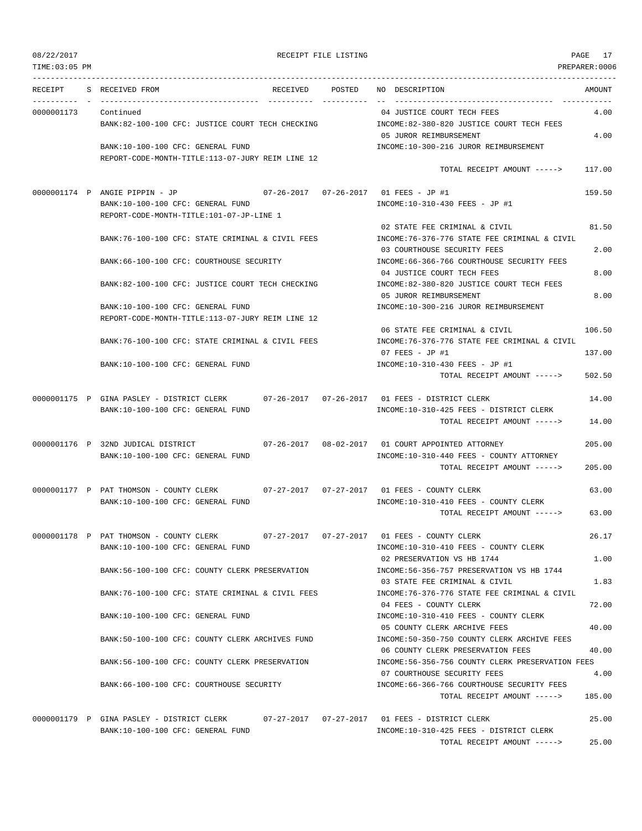TIME:03:05 PM PREPARER:0006

## 08/22/2017 RECEIPT FILE LISTING PAGE 17

| RECEIPT    | S RECEIVED FROM                                                                | RECEIVED | POSTED | NO DESCRIPTION                                                                    | AMOUNT |
|------------|--------------------------------------------------------------------------------|----------|--------|-----------------------------------------------------------------------------------|--------|
|            |                                                                                |          |        |                                                                                   |        |
| 0000001173 | Continued<br>BANK:82-100-100 CFC: JUSTICE COURT TECH CHECKING                  |          |        | 04 JUSTICE COURT TECH FEES<br>INCOME:82-380-820 JUSTICE COURT TECH FEES           | 4.00   |
|            |                                                                                |          |        | 05 JUROR REIMBURSEMENT                                                            | 4.00   |
|            | BANK:10-100-100 CFC: GENERAL FUND                                              |          |        | INCOME:10-300-216 JUROR REIMBURSEMENT                                             |        |
|            | REPORT-CODE-MONTH-TITLE:113-07-JURY REIM LINE 12                               |          |        | TOTAL RECEIPT AMOUNT ----->                                                       | 117.00 |
|            | 0000001174 P ANGIE PIPPIN - JP                                                 |          |        |                                                                                   | 159.50 |
|            | BANK:10-100-100 CFC: GENERAL FUND<br>REPORT-CODE-MONTH-TITLE:101-07-JP-LINE 1  |          |        | INCOME:10-310-430 FEES - JP #1                                                    |        |
|            |                                                                                |          |        | 02 STATE FEE CRIMINAL & CIVIL                                                     | 81.50  |
|            | BANK:76-100-100 CFC: STATE CRIMINAL & CIVIL FEES                               |          |        | INCOME: 76-376-776 STATE FEE CRIMINAL & CIVIL<br>03 COURTHOUSE SECURITY FEES      | 2.00   |
|            | BANK:66-100-100 CFC: COURTHOUSE SECURITY                                       |          |        | INCOME: 66-366-766 COURTHOUSE SECURITY FEES                                       |        |
|            | BANK:82-100-100 CFC: JUSTICE COURT TECH CHECKING                               |          |        | 04 JUSTICE COURT TECH FEES<br>INCOME:82-380-820 JUSTICE COURT TECH FEES           | 8.00   |
|            |                                                                                |          |        | 05 JUROR REIMBURSEMENT                                                            | 8.00   |
|            | BANK:10-100-100 CFC: GENERAL FUND                                              |          |        | INCOME:10-300-216 JUROR REIMBURSEMENT                                             |        |
|            | REPORT-CODE-MONTH-TITLE:113-07-JURY REIM LINE 12                               |          |        |                                                                                   | 106.50 |
|            | BANK:76-100-100 CFC: STATE CRIMINAL & CIVIL FEES                               |          |        | 06 STATE FEE CRIMINAL & CIVIL<br>INCOME: 76-376-776 STATE FEE CRIMINAL & CIVIL    |        |
|            | BANK: 10-100-100 CFC: GENERAL FUND                                             |          |        | $07$ FEES - JP #1<br>INCOME:10-310-430 FEES - JP #1                               | 137.00 |
|            |                                                                                |          |        | TOTAL RECEIPT AMOUNT ----->                                                       | 502.50 |
|            |                                                                                |          |        |                                                                                   |        |
|            | 0000001175 P GINA PASLEY - DISTRICT CLERK                                      |          |        | 07-26-2017  07-26-2017  01 FEES - DISTRICT CLERK                                  | 14.00  |
|            | BANK:10-100-100 CFC: GENERAL FUND                                              |          |        | INCOME:10-310-425 FEES - DISTRICT CLERK<br>TOTAL RECEIPT AMOUNT ----->            | 14.00  |
|            | 0000001176 P 32ND JUDICAL DISTRICT                                             |          |        |                                                                                   | 205.00 |
|            | BANK:10-100-100 CFC: GENERAL FUND                                              |          |        | INCOME:10-310-440 FEES - COUNTY ATTORNEY                                          |        |
|            |                                                                                |          |        | TOTAL RECEIPT AMOUNT ----->                                                       | 205.00 |
|            | 0000001177 P PAT THOMSON - COUNTY CLERK                                        |          |        |                                                                                   | 63.00  |
|            | BANK:10-100-100 CFC: GENERAL FUND                                              |          |        | INCOME:10-310-410 FEES - COUNTY CLERK                                             |        |
|            |                                                                                |          |        | TOTAL RECEIPT AMOUNT ----->                                                       | 63.00  |
|            | 0000001178 P PAT THOMSON - COUNTY CLERK                                        |          |        | 07-27-2017  07-27-2017  01 FEES - COUNTY CLERK                                    | 26.17  |
|            | BANK:10-100-100 CFC: GENERAL FUND                                              |          |        | INCOME:10-310-410 FEES - COUNTY CLERK<br>02 PRESERVATION VS HB 1744               | 1.00   |
|            | BANK:56-100-100 CFC: COUNTY CLERK PRESERVATION                                 |          |        | INCOME: 56-356-757 PRESERVATION VS HB 1744                                        |        |
|            |                                                                                |          |        | 03 STATE FEE CRIMINAL & CIVIL                                                     | 1.83   |
|            | BANK:76-100-100 CFC: STATE CRIMINAL & CIVIL FEES                               |          |        | INCOME: 76-376-776 STATE FEE CRIMINAL & CIVIL<br>04 FEES - COUNTY CLERK           | 72.00  |
|            | BANK:10-100-100 CFC: GENERAL FUND                                              |          |        | INCOME:10-310-410 FEES - COUNTY CLERK                                             |        |
|            |                                                                                |          |        | 05 COUNTY CLERK ARCHIVE FEES                                                      | 40.00  |
|            | BANK:50-100-100 CFC: COUNTY CLERK ARCHIVES FUND                                |          |        | INCOME: 50-350-750 COUNTY CLERK ARCHIVE FEES<br>06 COUNTY CLERK PRESERVATION FEES | 40.00  |
|            | BANK:56-100-100 CFC: COUNTY CLERK PRESERVATION                                 |          |        | INCOME:56-356-756 COUNTY CLERK PRESERVATION FEES                                  |        |
|            |                                                                                |          |        | 07 COURTHOUSE SECURITY FEES                                                       | 4.00   |
|            | BANK:66-100-100 CFC: COURTHOUSE SECURITY                                       |          |        | INCOME:66-366-766 COURTHOUSE SECURITY FEES<br>TOTAL RECEIPT AMOUNT ----->         | 185.00 |
|            |                                                                                |          |        |                                                                                   |        |
|            | 0000001179 P GINA PASLEY - DISTRICT CLERK<br>BANK:10-100-100 CFC: GENERAL FUND |          |        | INCOME:10-310-425 FEES - DISTRICT CLERK                                           | 25.00  |
|            |                                                                                |          |        |                                                                                   |        |

TOTAL RECEIPT AMOUNT -----> 25.00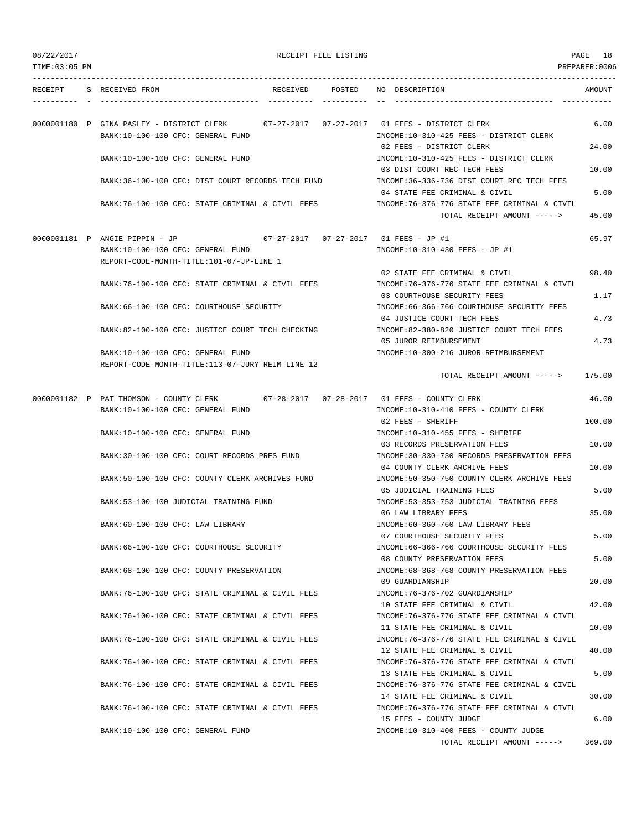| 08/22/2017 |  |
|------------|--|
|------------|--|

TOTAL RECEIPT AMOUNT -----> 369.00

| 08/22/2017    |                                                   |                                   | RECEIPT FILE LISTING |                                                                                | PAGE<br>18     |
|---------------|---------------------------------------------------|-----------------------------------|----------------------|--------------------------------------------------------------------------------|----------------|
| TIME:03:05 PM |                                                   |                                   |                      |                                                                                | PREPARER: 0006 |
|               |                                                   |                                   |                      |                                                                                |                |
| RECEIPT       | S RECEIVED FROM                                   | RECEIVED POSTED                   |                      | NO DESCRIPTION                                                                 | AMOUNT         |
|               |                                                   |                                   |                      |                                                                                |                |
|               |                                                   |                                   |                      |                                                                                |                |
|               | 0000001180 P GINA PASLEY - DISTRICT CLERK         |                                   |                      |                                                                                | 6.00           |
|               | BANK:10-100-100 CFC: GENERAL FUND                 |                                   |                      | INCOME:10-310-425 FEES - DISTRICT CLERK<br>02 FEES - DISTRICT CLERK            | 24.00          |
|               | BANK:10-100-100 CFC: GENERAL FUND                 |                                   |                      | INCOME:10-310-425 FEES - DISTRICT CLERK                                        |                |
|               |                                                   |                                   |                      | 03 DIST COURT REC TECH FEES                                                    | 10.00          |
|               | BANK:36-100-100 CFC: DIST COURT RECORDS TECH FUND |                                   |                      | INCOME: 36-336-736 DIST COURT REC TECH FEES                                    |                |
|               |                                                   |                                   |                      | 04 STATE FEE CRIMINAL & CIVIL                                                  | 5.00           |
|               | BANK:76-100-100 CFC: STATE CRIMINAL & CIVIL FEES  |                                   |                      | INCOME:76-376-776 STATE FEE CRIMINAL & CIVIL                                   |                |
|               |                                                   |                                   |                      | TOTAL RECEIPT AMOUNT ----->                                                    | 45.00          |
|               |                                                   |                                   |                      |                                                                                |                |
|               | 0000001181 P ANGIE PIPPIN - JP                    |                                   |                      |                                                                                | 65.97          |
|               | BANK:10-100-100 CFC: GENERAL FUND                 |                                   |                      | INCOME:10-310-430 FEES - JP #1                                                 |                |
|               | REPORT-CODE-MONTH-TITLE:101-07-JP-LINE 1          |                                   |                      |                                                                                |                |
|               |                                                   |                                   |                      | 02 STATE FEE CRIMINAL & CIVIL                                                  | 98.40          |
|               | BANK:76-100-100 CFC: STATE CRIMINAL & CIVIL FEES  |                                   |                      | INCOME: 76-376-776 STATE FEE CRIMINAL & CIVIL                                  |                |
|               |                                                   |                                   |                      | 03 COURTHOUSE SECURITY FEES                                                    | 1.17           |
|               | BANK: 66-100-100 CFC: COURTHOUSE SECURITY         |                                   |                      | INCOME:66-366-766 COURTHOUSE SECURITY FEES                                     |                |
|               |                                                   |                                   |                      | 04 JUSTICE COURT TECH FEES                                                     | 4.73           |
|               | BANK:82-100-100 CFC: JUSTICE COURT TECH CHECKING  |                                   |                      | INCOME:82-380-820 JUSTICE COURT TECH FEES                                      |                |
|               |                                                   |                                   |                      | 05 JUROR REIMBURSEMENT                                                         | 4.73           |
|               | BANK:10-100-100 CFC: GENERAL FUND                 |                                   |                      | INCOME:10-300-216 JUROR REIMBURSEMENT                                          |                |
|               | REPORT-CODE-MONTH-TITLE:113-07-JURY REIM LINE 12  |                                   |                      |                                                                                |                |
|               |                                                   |                                   |                      | TOTAL RECEIPT AMOUNT ----->                                                    | 175.00         |
|               | 0000001182 P PAT THOMSON - COUNTY CLERK           | $07 - 28 - 2017$ $07 - 28 - 2017$ |                      | 01 FEES - COUNTY CLERK                                                         | 46.00          |
|               | BANK:10-100-100 CFC: GENERAL FUND                 |                                   |                      | INCOME:10-310-410 FEES - COUNTY CLERK                                          |                |
|               |                                                   |                                   |                      | 02 FEES - SHERIFF                                                              | 100.00         |
|               | BANK:10-100-100 CFC: GENERAL FUND                 |                                   |                      | INCOME:10-310-455 FEES - SHERIFF                                               |                |
|               |                                                   |                                   |                      | 03 RECORDS PRESERVATION FEES                                                   | 10.00          |
|               | BANK:30-100-100 CFC: COURT RECORDS PRES FUND      |                                   |                      | INCOME: 30-330-730 RECORDS PRESERVATION FEES                                   |                |
|               |                                                   |                                   |                      | 04 COUNTY CLERK ARCHIVE FEES                                                   | 10.00          |
|               | BANK:50-100-100 CFC: COUNTY CLERK ARCHIVES FUND   |                                   |                      | INCOME:50-350-750 COUNTY CLERK ARCHIVE FEES                                    |                |
|               |                                                   |                                   |                      | 05 JUDICIAL TRAINING FEES                                                      | 5.00           |
|               | BANK: 53-100-100 JUDICIAL TRAINING FUND           |                                   |                      | INCOME: 53-353-753 JUDICIAL TRAINING FEES                                      |                |
|               |                                                   |                                   |                      | 06 LAW LIBRARY FEES                                                            | 35.00          |
|               | BANK:60-100-100 CFC: LAW LIBRARY                  |                                   |                      | INCOME:60-360-760 LAW LIBRARY FEES                                             |                |
|               |                                                   |                                   |                      | 07 COURTHOUSE SECURITY FEES                                                    | 5.00           |
|               | BANK:66-100-100 CFC: COURTHOUSE SECURITY          |                                   |                      | INCOME:66-366-766 COURTHOUSE SECURITY FEES                                     |                |
|               |                                                   |                                   |                      | 08 COUNTY PRESERVATION FEES                                                    | 5.00           |
|               | BANK: 68-100-100 CFC: COUNTY PRESERVATION         |                                   |                      | INCOME: 68-368-768 COUNTY PRESERVATION FEES                                    |                |
|               |                                                   |                                   |                      | 09 GUARDIANSHIP                                                                | 20.00          |
|               | BANK:76-100-100 CFC: STATE CRIMINAL & CIVIL FEES  |                                   |                      | INCOME: 76-376-702 GUARDIANSHIP                                                |                |
|               |                                                   |                                   |                      | 10 STATE FEE CRIMINAL & CIVIL                                                  | 42.00          |
|               | BANK:76-100-100 CFC: STATE CRIMINAL & CIVIL FEES  |                                   |                      | INCOME: 76-376-776 STATE FEE CRIMINAL & CIVIL                                  |                |
|               |                                                   |                                   |                      | 11 STATE FEE CRIMINAL & CIVIL                                                  | 10.00          |
|               | BANK:76-100-100 CFC: STATE CRIMINAL & CIVIL FEES  |                                   |                      | INCOME: 76-376-776 STATE FEE CRIMINAL & CIVIL                                  |                |
|               |                                                   |                                   |                      | 12 STATE FEE CRIMINAL & CIVIL                                                  | 40.00          |
|               | BANK:76-100-100 CFC: STATE CRIMINAL & CIVIL FEES  |                                   |                      | INCOME: 76-376-776 STATE FEE CRIMINAL & CIVIL                                  |                |
|               |                                                   |                                   |                      | 13 STATE FEE CRIMINAL & CIVIL                                                  | 5.00           |
|               | BANK:76-100-100 CFC: STATE CRIMINAL & CIVIL FEES  |                                   |                      | INCOME: 76-376-776 STATE FEE CRIMINAL & CIVIL<br>14 STATE FEE CRIMINAL & CIVIL | 30.00          |
|               | BANK:76-100-100 CFC: STATE CRIMINAL & CIVIL FEES  |                                   |                      | INCOME:76-376-776 STATE FEE CRIMINAL & CIVIL                                   |                |
|               |                                                   |                                   |                      | 15 FEES - COUNTY JUDGE                                                         | 6.00           |
|               | BANK:10-100-100 CFC: GENERAL FUND                 |                                   |                      | INCOME:10-310-400 FEES - COUNTY JUDGE                                          |                |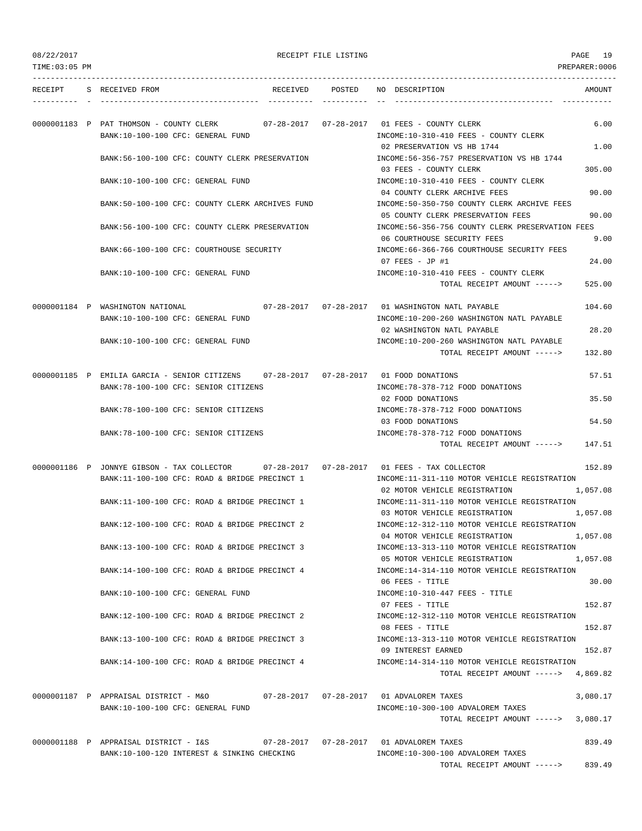| TIME:03:05 PM |                                                                                          |        | PREPARER:0006                                                                             |
|---------------|------------------------------------------------------------------------------------------|--------|-------------------------------------------------------------------------------------------|
| RECEIPT       | S RECEIVED FROM<br>RECEIVED                                                              | POSTED | NO DESCRIPTION<br>AMOUNT                                                                  |
|               |                                                                                          |        |                                                                                           |
|               | 0000001183 P PAT THOMSON - COUNTY CLERK                                                  |        | 07-28-2017   07-28-2017   01 FEES - COUNTY CLERK<br>6.00                                  |
|               | BANK:10-100-100 CFC: GENERAL FUND                                                        |        | INCOME:10-310-410 FEES - COUNTY CLERK                                                     |
|               |                                                                                          |        | 02 PRESERVATION VS HB 1744<br>1.00                                                        |
|               | BANK:56-100-100 CFC: COUNTY CLERK PRESERVATION                                           |        | INCOME: 56-356-757 PRESERVATION VS HB 1744                                                |
|               |                                                                                          |        | 03 FEES - COUNTY CLERK<br>305.00                                                          |
|               | BANK:10-100-100 CFC: GENERAL FUND                                                        |        | INCOME:10-310-410 FEES - COUNTY CLERK                                                     |
|               | BANK:50-100-100 CFC: COUNTY CLERK ARCHIVES FUND                                          |        | 04 COUNTY CLERK ARCHIVE FEES<br>90.00<br>INCOME:50-350-750 COUNTY CLERK ARCHIVE FEES      |
|               |                                                                                          |        | 90.00<br>05 COUNTY CLERK PRESERVATION FEES                                                |
|               | BANK:56-100-100 CFC: COUNTY CLERK PRESERVATION                                           |        | INCOME:56-356-756 COUNTY CLERK PRESERVATION FEES                                          |
|               |                                                                                          |        | 9.00<br>06 COURTHOUSE SECURITY FEES                                                       |
|               | BANK:66-100-100 CFC: COURTHOUSE SECURITY                                                 |        | INCOME: 66-366-766 COURTHOUSE SECURITY FEES                                               |
|               |                                                                                          |        | 07 FEES - JP #1<br>24.00                                                                  |
|               | BANK:10-100-100 CFC: GENERAL FUND                                                        |        | INCOME:10-310-410 FEES - COUNTY CLERK                                                     |
|               |                                                                                          |        | TOTAL RECEIPT AMOUNT -----><br>525.00                                                     |
|               |                                                                                          |        |                                                                                           |
|               | 0000001184 P WASHINGTON NATIONAL                                                         |        | 07-28-2017  07-28-2017  01 WASHINGTON NATL PAYABLE<br>104.60                              |
|               | BANK:10-100-100 CFC: GENERAL FUND                                                        |        | INCOME:10-200-260 WASHINGTON NATL PAYABLE                                                 |
|               |                                                                                          |        | 02 WASHINGTON NATL PAYABLE<br>28.20                                                       |
|               | BANK:10-100-100 CFC: GENERAL FUND                                                        |        | INCOME:10-200-260 WASHINGTON NATL PAYABLE                                                 |
|               |                                                                                          |        | TOTAL RECEIPT AMOUNT -----><br>132.80                                                     |
|               | 0000001185 P EMILIA GARCIA - SENIOR CITIZENS 07-28-2017 07-28-2017 01 FOOD DONATIONS     |        | 57.51                                                                                     |
|               | BANK: 78-100-100 CFC: SENIOR CITIZENS                                                    |        | INCOME: 78-378-712 FOOD DONATIONS                                                         |
|               |                                                                                          |        | 02 FOOD DONATIONS<br>35.50                                                                |
|               | BANK: 78-100-100 CFC: SENIOR CITIZENS                                                    |        | INCOME: 78-378-712 FOOD DONATIONS                                                         |
|               |                                                                                          |        | 54.50<br>03 FOOD DONATIONS                                                                |
|               | BANK: 78-100-100 CFC: SENIOR CITIZENS                                                    |        | INCOME: 78-378-712 FOOD DONATIONS                                                         |
|               |                                                                                          |        | TOTAL RECEIPT AMOUNT -----><br>147.51                                                     |
|               | 0000001186 P JONNYE GIBSON - TAX COLLECTOR 07-28-2017 07-28-2017 01 FEES - TAX COLLECTOR |        | 152.89                                                                                    |
|               | BANK:11-100-100 CFC: ROAD & BRIDGE PRECINCT 1                                            |        | INCOME:11-311-110 MOTOR VEHICLE REGISTRATION                                              |
|               |                                                                                          |        | 02 MOTOR VEHICLE REGISTRATION<br>1,057.08                                                 |
|               | BANK:11-100-100 CFC: ROAD & BRIDGE PRECINCT 1                                            |        | INCOME:11-311-110 MOTOR VEHICLE REGISTRATION                                              |
|               |                                                                                          |        | 1,057.08<br>03 MOTOR VEHICLE REGISTRATION                                                 |
|               | BANK:12-100-100 CFC: ROAD & BRIDGE PRECINCT 2                                            |        | INCOME:12-312-110 MOTOR VEHICLE REGISTRATION                                              |
|               |                                                                                          |        | 1,057.08<br>04 MOTOR VEHICLE REGISTRATION                                                 |
|               | BANK:13-100-100 CFC: ROAD & BRIDGE PRECINCT 3                                            |        | INCOME:13-313-110 MOTOR VEHICLE REGISTRATION<br>1,057.08<br>05 MOTOR VEHICLE REGISTRATION |
|               | BANK:14-100-100 CFC: ROAD & BRIDGE PRECINCT 4                                            |        | INCOME:14-314-110 MOTOR VEHICLE REGISTRATION                                              |
|               |                                                                                          |        | 30.00<br>06 FEES - TITLE                                                                  |
|               | BANK:10-100-100 CFC: GENERAL FUND                                                        |        | $INCOME: 10-310-447$ FEES - TITLE                                                         |
|               |                                                                                          |        | 152.87<br>07 FEES - TITLE                                                                 |
|               | BANK:12-100-100 CFC: ROAD & BRIDGE PRECINCT 2                                            |        | INCOME:12-312-110 MOTOR VEHICLE REGISTRATION                                              |
|               |                                                                                          |        | 08 FEES - TITLE<br>152.87                                                                 |
|               | BANK:13-100-100 CFC: ROAD & BRIDGE PRECINCT 3                                            |        | INCOME:13-313-110 MOTOR VEHICLE REGISTRATION                                              |
|               |                                                                                          |        | 152.87<br>09 INTEREST EARNED                                                              |
|               | BANK:14-100-100 CFC: ROAD & BRIDGE PRECINCT 4                                            |        | INCOME:14-314-110 MOTOR VEHICLE REGISTRATION                                              |
|               |                                                                                          |        | TOTAL RECEIPT AMOUNT -----> 4,869.82                                                      |
|               | 0000001187 P APPRAISAL DISTRICT - M&O 67-28-2017 07-28-2017 01 ADVALOREM TAXES           |        | 3,080.17                                                                                  |
|               | BANK:10-100-100 CFC: GENERAL FUND                                                        |        | INCOME:10-300-100 ADVALOREM TAXES                                                         |
|               |                                                                                          |        | 3,080.17<br>TOTAL RECEIPT AMOUNT ----->                                                   |
|               |                                                                                          |        |                                                                                           |
|               | 0000001188 P APPRAISAL DISTRICT - I&S                                                    |        | 839.49                                                                                    |
|               | BANK:10-100-120 INTEREST & SINKING CHECKING                                              |        | INCOME:10-300-100 ADVALOREM TAXES                                                         |
|               |                                                                                          |        | TOTAL RECEIPT AMOUNT -----> 839.49                                                        |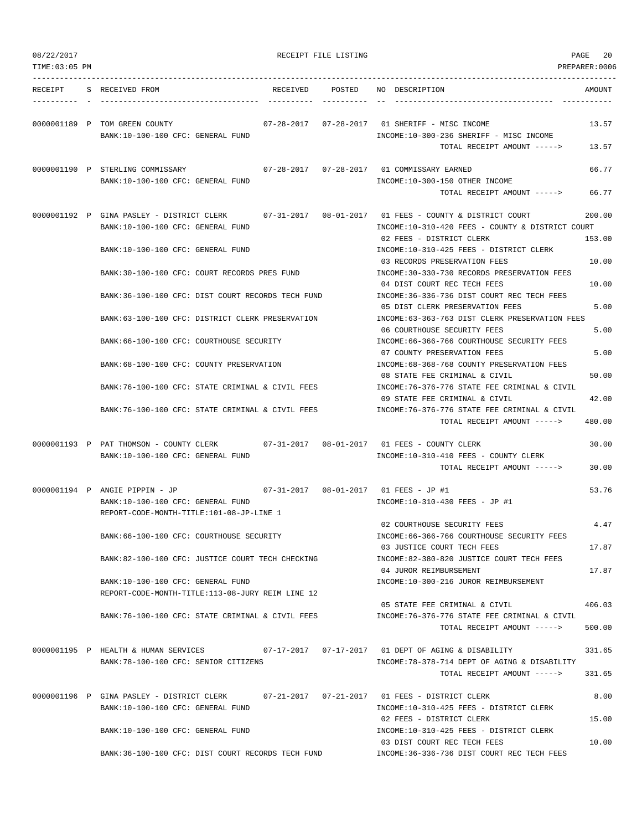| TIME:03:05 PM |                                                                                                                                   |          |        |                                                                                                                                             | PREPARER:0006    |
|---------------|-----------------------------------------------------------------------------------------------------------------------------------|----------|--------|---------------------------------------------------------------------------------------------------------------------------------------------|------------------|
| RECEIPT       | S RECEIVED FROM                                                                                                                   | RECEIVED | POSTED | NO DESCRIPTION                                                                                                                              | AMOUNT           |
|               | 0000001189 P TOM GREEN COUNTY<br>BANK:10-100-100 CFC: GENERAL FUND                                                                |          |        | 07-28-2017  07-28-2017  01 SHERIFF - MISC INCOME<br>INCOME:10-300-236 SHERIFF - MISC INCOME<br>TOTAL RECEIPT AMOUNT ----->                  | 13.57<br>13.57   |
|               | 0000001190 P STERLING COMMISSARY<br>BANK:10-100-100 CFC: GENERAL FUND                                                             |          |        | 07-28-2017  07-28-2017  01 COMMISSARY EARNED<br>INCOME:10-300-150 OTHER INCOME                                                              | 66.77            |
|               |                                                                                                                                   |          |        | TOTAL RECEIPT AMOUNT ----->                                                                                                                 | 66.77            |
|               | 0000001192 P GINA PASLEY - DISTRICT CLERK<br>BANK:10-100-100 CFC: GENERAL FUND                                                    |          |        | $07-31-2017$ $08-01-2017$ 01 FEES - COUNTY & DISTRICT COURT<br>INCOME:10-310-420 FEES - COUNTY & DISTRICT COURT<br>02 FEES - DISTRICT CLERK | 200.00<br>153.00 |
|               | BANK:10-100-100 CFC: GENERAL FUND                                                                                                 |          |        | INCOME:10-310-425 FEES - DISTRICT CLERK<br>03 RECORDS PRESERVATION FEES                                                                     | 10.00            |
|               | BANK:30-100-100 CFC: COURT RECORDS PRES FUND                                                                                      |          |        | INCOME: 30-330-730 RECORDS PRESERVATION FEES<br>04 DIST COURT REC TECH FEES                                                                 | 10.00            |
|               | BANK:36-100-100 CFC: DIST COURT RECORDS TECH FUND                                                                                 |          |        | INCOME: 36-336-736 DIST COURT REC TECH FEES<br>05 DIST CLERK PRESERVATION FEES                                                              | 5.00             |
|               | BANK:63-100-100 CFC: DISTRICT CLERK PRESERVATION                                                                                  |          |        | INCOME:63-363-763 DIST CLERK PRESERVATION FEES<br>06 COURTHOUSE SECURITY FEES                                                               | 5.00             |
|               | BANK:66-100-100 CFC: COURTHOUSE SECURITY                                                                                          |          |        | INCOME: 66-366-766 COURTHOUSE SECURITY FEES                                                                                                 |                  |
|               | BANK:68-100-100 CFC: COUNTY PRESERVATION                                                                                          |          |        | 07 COUNTY PRESERVATION FEES<br>INCOME: 68-368-768 COUNTY PRESERVATION FEES                                                                  | 5.00             |
|               | BANK:76-100-100 CFC: STATE CRIMINAL & CIVIL FEES                                                                                  |          |        | 08 STATE FEE CRIMINAL & CIVIL<br>INCOME:76-376-776 STATE FEE CRIMINAL & CIVIL                                                               | 50.00            |
|               | BANK: 76-100-100 CFC: STATE CRIMINAL & CIVIL FEES                                                                                 |          |        | 09 STATE FEE CRIMINAL & CIVIL<br>INCOME:76-376-776 STATE FEE CRIMINAL & CIVIL<br>TOTAL RECEIPT AMOUNT ----->                                | 42.00<br>480.00  |
|               | 0000001193 P PAT THOMSON - COUNTY CLERK 07-31-2017 08-01-2017 01 FEES - COUNTY CLERK<br>BANK:10-100-100 CFC: GENERAL FUND         |          |        | INCOME:10-310-410 FEES - COUNTY CLERK<br>TOTAL RECEIPT AMOUNT ----->                                                                        | 30.00<br>30.00   |
|               | 0000001194 P ANGIE PIPPIN - JP<br>BANK:10-100-100 CFC: GENERAL FUND<br>REPORT-CODE-MONTH-TITLE:101-08-JP-LINE 1                   |          |        | 07-31-2017  08-01-2017  01 FEES - JP #1<br>INCOME:10-310-430 FEES - JP #1                                                                   | 53.76            |
|               | BANK:66-100-100 CFC: COURTHOUSE SECURITY                                                                                          |          |        | 02 COURTHOUSE SECURITY FEES<br>INCOME:66-366-766 COURTHOUSE SECURITY FEES                                                                   | 4.47             |
|               | BANK:82-100-100 CFC: JUSTICE COURT TECH CHECKING                                                                                  |          |        | 03 JUSTICE COURT TECH FEES<br>INCOME: 82-380-820 JUSTICE COURT TECH FEES                                                                    | 17.87            |
|               | BANK:10-100-100 CFC: GENERAL FUND                                                                                                 |          |        | 04 JUROR REIMBURSEMENT<br>INCOME:10-300-216 JUROR REIMBURSEMENT                                                                             | 17.87            |
|               | REPORT-CODE-MONTH-TITLE:113-08-JURY REIM LINE 12                                                                                  |          |        | 05 STATE FEE CRIMINAL & CIVIL                                                                                                               | 406.03           |
|               | BANK:76-100-100 CFC: STATE CRIMINAL & CIVIL FEES                                                                                  |          |        | INCOME: 76-376-776 STATE FEE CRIMINAL & CIVIL<br>TOTAL RECEIPT AMOUNT ----->                                                                | 500.00           |
|               | 0000001195 P HEALTH & HUMAN SERVICES 07-17-2017 07-17-2017 01 DEPT OF AGING & DISABILITY<br>BANK: 78-100-100 CFC: SENIOR CITIZENS |          |        | INCOME: 78-378-714 DEPT OF AGING & DISABILITY                                                                                               | 331.65           |
|               |                                                                                                                                   |          |        | TOTAL RECEIPT AMOUNT ----->                                                                                                                 | 331.65           |
|               | 0000001196 P GINA PASLEY - DISTRICT CLERK<br>BANK:10-100-100 CFC: GENERAL FUND                                                    |          |        | INCOME:10-310-425 FEES - DISTRICT CLERK                                                                                                     | 8.00             |
|               | BANK:10-100-100 CFC: GENERAL FUND                                                                                                 |          |        | 02 FEES - DISTRICT CLERK<br>INCOME:10-310-425 FEES - DISTRICT CLERK<br>03 DIST COURT REC TECH FEES                                          | 15.00<br>10.00   |

BANK:36-100-100 CFC: DIST COURT RECORDS TECH FUND INCOME:36-336-736 DIST COURT REC TECH FEES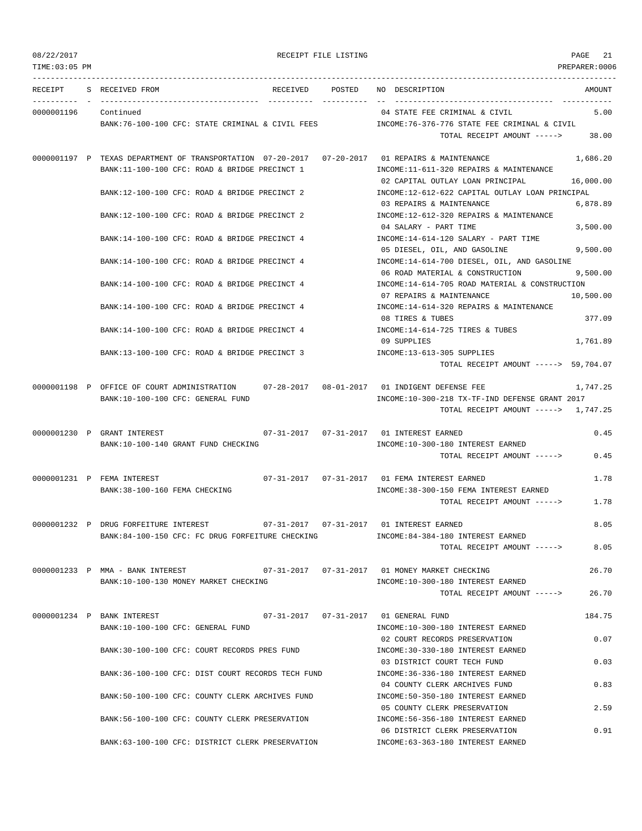TIME:03:05 PM PREPARER:0006 --------------------------------------------------------------------------------------------------------------------------------- RECEIPT S RECEIVED FROM RECEIVED POSTED NO DESCRIPTION AMOUNT ---------- - ----------------------------------- ---------- ---------- -- ----------------------------------- ----------- 0000001196 Continued 04 STATE FEE CRIMINAL & CIVIL 5.00 BANK:76-100-100 CFC: STATE CRIMINAL & CIVIL FEES INCOME:76-376-776 STATE FEE CRIMINAL & CIVIL TOTAL RECEIPT AMOUNT -----> 38.00 0000001197 P TEXAS DEPARTMENT OF TRANSPORTATION 07-20-2017 07-20-2017 01 REPAIRS & MAINTENANCE 1,686.20 BANK:11-100-100 CFC: ROAD & BRIDGE PRECINCT 1 INCOME:11-611-320 REPAIRS & MAINTENANCE 02 CAPITAL OUTLAY LOAN PRINCIPAL 16,000.00 BANK:12-100-100 CFC: ROAD & BRIDGE PRECINCT 2 INCOME:12-612-622 CAPITAL OUTLAY LOAN PRINCIPAL 03 REPAIRS & MAINTENANCE 6,878.89 BANK:12-100-100 CFC: ROAD & BRIDGE PRECINCT 2 INCOME:12-612-320 REPAIRS & MAINTENANCE 04 SALARY - PART TIME 3,500.00 BANK:14-100-100 CFC: ROAD & BRIDGE PRECINCT 4 INCOME:14-614-120 SALARY - PART TIME 05 DIESEL, OIL, AND GASOLINE 9,500.00 BANK:14-100-100 CFC: ROAD & BRIDGE PRECINCT 4 INCOME:14-614-700 DIESEL, OIL, AND GASOLINE 06 ROAD MATERIAL & CONSTRUCTION 9,500.00 BANK:14-100-100 CFC: ROAD & BRIDGE PRECINCT 4 INCOME:14-614-705 ROAD MATERIAL & CONSTRUCTION 07 REPAIRS & MAINTENANCE 10,500.00 BANK:14-100-100 CFC: ROAD & BRIDGE PRECINCT 4 INCOME:14-614-320 REPAIRS & MAINTENANCE 08 TIRES & TUBES 377.09 BANK:14-100-100 CFC: ROAD & BRIDGE PRECINCT 4 INCOME:14-614-725 TIRES & TUBES 09 SUPPLIES 1,761.89 BANK:13-100-100 CFC: ROAD & BRIDGE PRECINCT 3 INCOME:13-613-305 SUPPLIES TOTAL RECEIPT AMOUNT -----> 59,704.07 0000001198 P OFFICE OF COURT ADMINISTRATION 07-28-2017 08-01-2017 01 INDIGENT DEFENSE FEE 1,747.25 BANK:10-100-100 CFC: GENERAL FUND INCOME:10-300-218 TX-TF-IND DEFENSE GRANT 2017 TOTAL RECEIPT AMOUNT -----> 1,747.25 0000001230 P GRANT INTEREST 07-31-2017 07-31-2017 01 INTEREST EARNED 0.45 BANK:10-100-140 GRANT FUND CHECKING INCOME:10-300-180 INTEREST EARNED TOTAL RECEIPT AMOUNT -----> 0.45 0000001231 P FEMA INTEREST 07-31-2017 07-31-2017 01 FEMA INTEREST EARNED 1.78 BANK:38-100-160 FEMA CHECKING INCOME:38-300-150 FEMA INTEREST EARNED TOTAL RECEIPT AMOUNT -----> 1.78 0000001232 P DRUG FORFEITURE INTEREST 07-31-2017 07-31-2017 01 INTEREST EARNED 8.05 BANK:84-100-150 CFC: FC DRUG FORFEITURE CHECKING INCOME:84-384-180 INTEREST EARNED TOTAL RECEIPT AMOUNT -----> 8.05 0000001233 P MMA - BANK INTEREST 07-31-2017 07-31-2017 01 MONEY MARKET CHECKING 26.70 BANK:10-100-130 MONEY MARKET CHECKING **INCOME:10-300-180 INTEREST EARNED** TOTAL RECEIPT AMOUNT -----> 26.70 0000001234 P BANK INTEREST 07-31-2017 07-31-2017 01 GENERAL FUND 184.75 BANK:10-100-100 CFC: GENERAL FUND INCOME:10-300-180 INTEREST EARNED 02 COURT RECORDS PRESERVATION 0.07 BANK:30-100-100 CFC: COURT RECORDS PRES FUND INCOME:30-330-180 INTEREST EARNED 03 DISTRICT COURT TECH FUND 0.03 BANK:36-100-100 CFC: DIST COURT RECORDS TECH FUND INCOME:36-336-180 INTEREST EARNED 04 COUNTY CLERK ARCHIVES FUND 0.83 BANK:50-100-100 CFC: COUNTY CLERK ARCHIVES FUND INCOME:50-350-180 INTEREST EARNED 05 COUNTY CLERK PRESERVATION 2.59 BANK:56-100-100 CFC: COUNTY CLERK PRESERVATION INCOME:56-356-180 INTEREST EARNED 06 DISTRICT CLERK PRESERVATION 0.91

BANK:63-100-100 CFC: DISTRICT CLERK PRESERVATION INCOME:63-363-180 INTEREST EARNED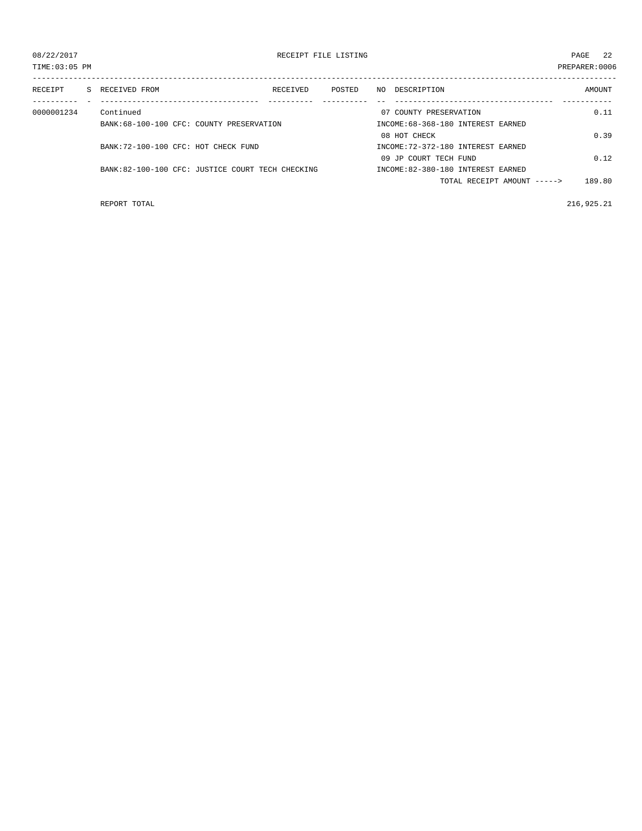| TIME: 03:05 PM |                                                  |          |        |     |                                    | PREPARER: 0006 |
|----------------|--------------------------------------------------|----------|--------|-----|------------------------------------|----------------|
| RECEIPT        | S RECEIVED FROM                                  | RECEIVED | POSTED | NO. | DESCRIPTION                        | AMOUNT         |
|                |                                                  |          |        |     |                                    |                |
| 0000001234     | Continued                                        |          |        |     | 07 COUNTY PRESERVATION             | 0.11           |
|                | BANK:68-100-100 CFC: COUNTY PRESERVATION         |          |        |     | INCOME: 68-368-180 INTEREST EARNED |                |
|                |                                                  |          |        |     | 08 HOT CHECK                       | 0.39           |
|                | BANK: 72-100-100 CFC: HOT CHECK FUND             |          |        |     | INCOME: 72-372-180 INTEREST EARNED |                |
|                |                                                  |          |        |     | 09 JP COURT TECH FUND              | 0.12           |
|                | BANK:82-100-100 CFC: JUSTICE COURT TECH CHECKING |          |        |     | INCOME:82-380-180 INTEREST EARNED  |                |
|                |                                                  |          |        |     | TOTAL RECEIPT AMOUNT $---$         | 189.80         |

REPORT TOTAL 216,925.21